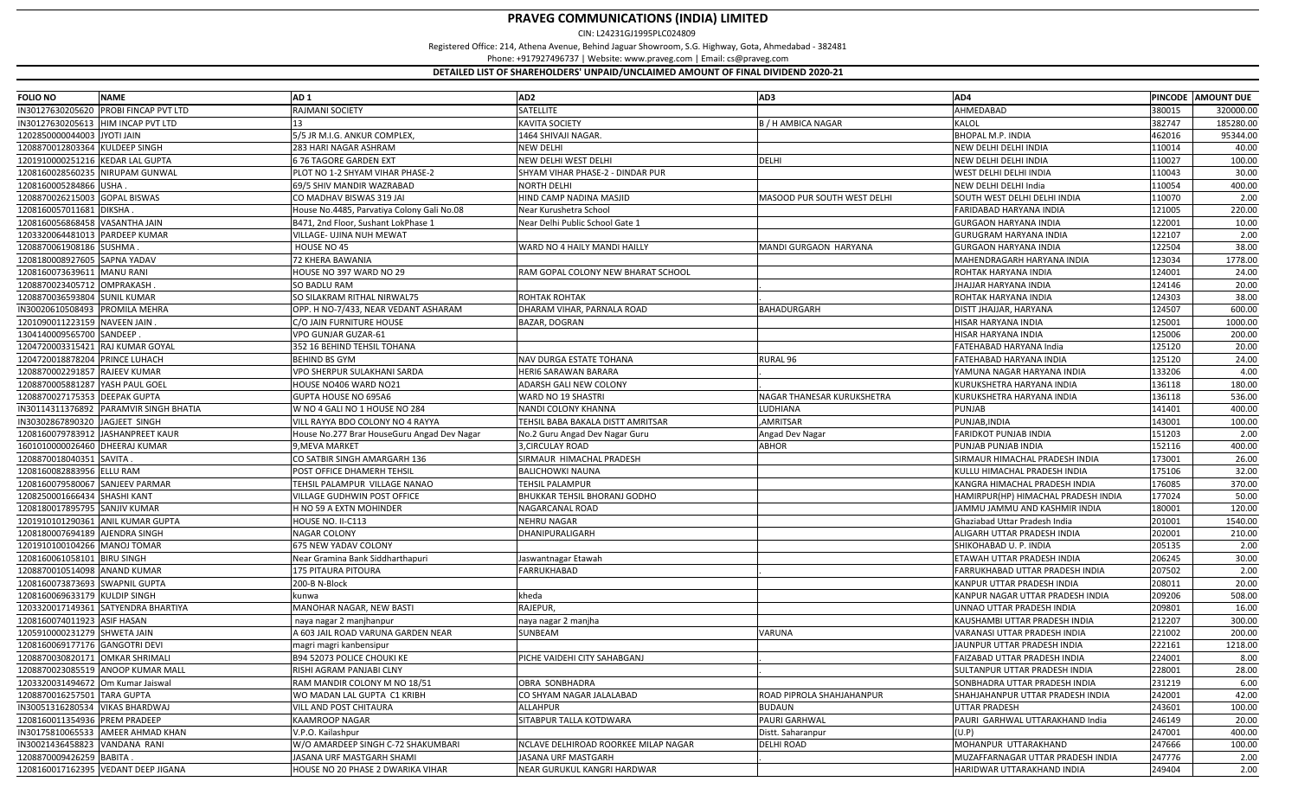| <b>FOLIO NO</b>                     | <b>NAME</b>                            | AD <sub>1</sub>                                               | AD <sub>2</sub>                              | AD3                         | AD4                                                   |        | PINCODE AMOUNT DUE |
|-------------------------------------|----------------------------------------|---------------------------------------------------------------|----------------------------------------------|-----------------------------|-------------------------------------------------------|--------|--------------------|
|                                     | IN30127630205620 PROBI FINCAP PVT LTD  | RAJMANI SOCIETY                                               | <b>SATELLITE</b>                             |                             | AHMEDABAD                                             | 380015 | 320000.00          |
| IN30127630205613  HIM INCAP PVT LTD |                                        |                                                               | <b>KAVITA SOCIETY</b>                        | <b>B / H AMBICA NAGAR</b>   | KALOL                                                 | 382747 | 185280.00          |
| 1202850000044003 JYOTI JAIN         |                                        | 5/5 JR M.I.G. ANKUR COMPLEX,                                  | 1464 SHIVAJI NAGAR.                          |                             | <b>BHOPAL M.P. INDIA</b>                              | 462016 | 95344.00           |
| 1208870012803364 KULDEEP SINGH      |                                        | 283 HARI NAGAR ASHRAM                                         | <b>NEW DELHI</b>                             |                             | NEW DELHI DELHI INDIA                                 | 110014 | 40.00              |
| 1201910000251216 KEDAR LAL GUPTA    |                                        | 676 TAGORE GARDEN EXT                                         | NEW DELHI WEST DELHI                         | DELHI                       | NEW DELHI DELHI INDIA                                 | 110027 | 100.00             |
| 1208160028560235 NIRUPAM GUNWAL     |                                        | PLOT NO 1-2 SHYAM VIHAR PHASE-2                               | SHYAM VIHAR PHASE-2 - DINDAR PUR             |                             | WEST DELHI DELHI INDIA                                | 10043  | 30.00              |
| 1208160005284866 USHA.              |                                        | 69/5 SHIV MANDIR WAZRABAD                                     | <b>NORTH DELHI</b>                           |                             | NEW DELHI DELHI India                                 | 110054 | 400.00             |
| 1208870026215003 GOPAL BISWAS       |                                        | CO MADHAV BISWAS 319 JAI                                      | HIND CAMP NADINA MASJID                      | MASOOD PUR SOUTH WEST DELHI | SOUTH WEST DELHI DELHI INDIA                          | 110070 | 2.00               |
| 1208160057011681                    | <b>DIKSHA</b>                          | House No.4485, Parvatiya Colony Gali No.08                    | Near Kurushetra School                       |                             | FARIDABAD HARYANA INDIA                               | 121005 | 220.00             |
| 1208160056868458 VASANTHA JAIN      |                                        | B471, 2nd Floor, Sushant LokPhase 1                           | Near Delhi Public School Gate 1              |                             | <b>GURGAON HARYANA INDIA</b>                          | 122001 | 10.00              |
| 1203320064481013 PARDEEP KUMAR      |                                        | VILLAGE- UJINA NUH MEWAT                                      |                                              |                             | GURUGRAM HARYANA INDIA                                | 122107 | 2.00               |
| 1208870061908186 SUSHMA             |                                        | HOUSE NO 45                                                   | WARD NO 4 HAILY MANDI HAILLY                 | MANDI GURGAON HARYANA       | <b>GURGAON HARYANA INDIA</b>                          | 122504 | 38.00              |
| 1208180008927605 SAPNA YADAV        |                                        | 72 KHERA BAWANIA                                              |                                              |                             | MAHENDRAGARH HARYANA INDIA                            | 123034 | 1778.00            |
| 1208160073639611                    | <b>MANU RANI</b>                       | HOUSE NO 397 WARD NO 29                                       | RAM GOPAL COLONY NEW BHARAT SCHOOL           |                             | ROHTAK HARYANA INDIA                                  | 124001 | 24.00              |
| 1208870023405712 OMPRAKASH          |                                        | SO BADLU RAM                                                  |                                              |                             | HAJJAR HARYANA INDIA                                  | 124146 | 20.00              |
| 1208870036593804 SUNIL KUMAR        |                                        | SO SILAKRAM RITHAL NIRWAL75                                   | ROHTAK ROHTAK                                |                             | ROHTAK HARYANA INDIA                                  | 124303 | 38.00              |
| IN30020610508493 PROMILA MEHRA      |                                        | OPP. H NO-7/433, NEAR VEDANT ASHARAM                          | DHARAM VIHAR, PARNALA ROAD                   | BAHADURGARH                 | DISTT JHAJJAR, HARYANA                                | 124507 | 600.00             |
| 1201090011223159 NAVEEN JAIN        |                                        | C/O JAIN FURNITURE HOUSE                                      | BAZAR, DOGRAN                                |                             | HISAR HARYANA INDIA                                   | 125001 | 1000.00            |
| 1304140009565700 SANDEEP            |                                        | VPO GUNJAR GUZAR-61                                           |                                              |                             | HISAR HARYANA INDIA                                   | 125006 | 200.00             |
| 1204720003315421 RAJ KUMAR GOYAL    |                                        | 352 16 BEHIND TEHSIL TOHANA                                   |                                              |                             | FATEHABAD HARYANA India                               | 125120 | 20.00              |
| 1204720018878204 PRINCE LUHACH      |                                        | <b>BEHIND BS GYM</b>                                          | NAV DURGA ESTATE TOHANA                      | RURAL <sub>96</sub>         | FATEHABAD HARYANA INDIA                               | 125120 | 24.00              |
| 1208870002291857 RAJEEV KUMAR       |                                        | VPO SHERPUR SULAKHANI SARDA                                   | HERI6 SARAWAN BARARA                         |                             | YAMUNA NAGAR HARYANA INDIA                            | 133206 | 4.00               |
| 1208870005881287 YASH PAUL GOEL     |                                        | HOUSE NO406 WARD NO21                                         | ADARSH GALI NEW COLONY                       |                             | KURUKSHETRA HARYANA INDIA                             | 136118 | 180.00             |
| 1208870027175353 DEEPAK GUPTA       |                                        | GUPTA HOUSE NO 695A6                                          | WARD NO 19 SHASTRI                           | NAGAR THANESAR KURUKSHETRA  | KURUKSHETRA HARYANA INDIA                             | 136118 | 536.00             |
|                                     | IN30114311376892 PARAMVIR SINGH BHATIA | W NO 4 GALI NO 1 HOUSE NO 284                                 | NANDI COLONY KHANNA                          | LUDHIANA                    | PUNJAB                                                | 141401 | 400.00             |
| IN30302867890320 JAGJEET SINGH      |                                        | VILL RAYYA BDO COLONY NO 4 RAYYA                              | TEHSIL BABA BAKALA DISTT AMRITSAR            | AMRITSAR                    | PUNJAB, INDIA                                         | 143001 | 100.00             |
|                                     | 1208160079783912 JASHANPREET KAUR      |                                                               |                                              |                             | <b>FARIDKOT PUNJAB INDIA</b>                          | 151203 | 2.00               |
| 1601010000026460 DHEERAJ KUMAR      |                                        | House No.277 Brar HouseGuru Angad Dev Nagar<br>9, MEVA MARKET | No.2 Guru Angad Dev Nagar Guru               | Angad Dev Nagar             |                                                       | 152116 | 400.00             |
|                                     |                                        | CO SATBIR SINGH AMARGARH 136                                  | 3, CIRCULAY ROAD<br>SIRMAUR HIMACHAL PRADESH | <b>ABHOR</b>                | PUNJAB PUNJAB INDIA<br>SIRMAUR HIMACHAL PRADESH INDIA | 173001 | 26.00              |
| 1208870018040351 SAVITA.            |                                        |                                                               |                                              |                             |                                                       | 175106 |                    |
| 1208160082883956 ELLU RAM           |                                        | POST OFFICE DHAMERH TEHSIL                                    | <b>BALICHOWKI NAUNA</b>                      |                             | KULLU HIMACHAL PRADESH INDIA                          |        | 32.00<br>370.00    |
| 1208160079580067                    | <b>SANJEEV PARMAR</b>                  | TEHSIL PALAMPUR VILLAGE NANAO                                 | <b>TEHSIL PALAMPUR</b>                       |                             | KANGRA HIMACHAL PRADESH INDIA                         | 176085 |                    |
| 1208250001666434 SHASHI KANT        |                                        | VILLAGE GUDHWIN POST OFFICE                                   | BHUKKAR TEHSIL BHORANJ GODHO                 |                             | HAMIRPUR(HP) HIMACHAL PRADESH INDIA                   | 177024 | 50.00              |
| 1208180017895795 SANJIV KUMAR       |                                        | H NO 59 A EXTN MOHINDER                                       | NAGARCANAL ROAD                              |                             | IAMMU JAMMU AND KASHMIR INDIA                         | 180001 | 120.00             |
|                                     | 1201910101290361 ANIL KUMAR GUPTA      | HOUSE NO. II-C113                                             | <b>NEHRU NAGAR</b>                           |                             | Ghaziabad Uttar Pradesh India                         | 201001 | 1540.00            |
| 1208180007694189 AJENDRA SINGH      |                                        | <b>NAGAR COLONY</b>                                           | DHANIPURALIGARH                              |                             | ALIGARH UTTAR PRADESH INDIA                           | 202001 | 210.00             |
| 1201910100104266 MANOJ TOMAR        |                                        | 675 NEW YADAV COLONY                                          |                                              |                             | SHIKOHABAD U. P. INDIA                                | 205135 | 2.00               |
| 1208160061058101 BIRU SINGH         |                                        | Near Gramina Bank Siddharthapuri                              | Jaswantnagar Etawah                          |                             | ETAWAH UTTAR PRADESH INDIA                            | 206245 | 30.00              |
| 1208870010514098 ANAND KUMAR        |                                        | 175 PITAURA PITOURA                                           | FARRUKHABAD                                  |                             | FARRUKHABAD UTTAR PRADESH INDIA                       | 207502 | 2.00               |
| 1208160073873693 SWAPNIL GUPTA      |                                        | 200-B N-Block                                                 |                                              |                             | KANPUR UTTAR PRADESH INDIA                            | 208011 | 20.00              |
| 1208160069633179 KULDIP SINGH       |                                        | kunwa                                                         | kheda                                        |                             | KANPUR NAGAR UTTAR PRADESH INDIA                      | 209206 | 508.00             |
|                                     | 1203320017149361 SATYENDRA BHARTIYA    | MANOHAR NAGAR, NEW BASTI                                      | RAJEPUR,                                     |                             | UNNAO UTTAR PRADESH INDIA                             | 209801 | 16.00              |
| 1208160074011923 ASIF HASAN         |                                        | naya nagar 2 manjhanpur                                       | naya nagar 2 manjha                          |                             | KAUSHAMBI UTTAR PRADESH INDIA                         | 212207 | 300.00             |
| 1205910000231279 SHWETA JAIN        |                                        | A 603 JAIL ROAD VARUNA GARDEN NEAR                            | SUNBEAM                                      | VARUNA                      | VARANASI UTTAR PRADESH INDIA                          | 221002 | 200.00             |
| 1208160069177176 GANGOTRI DEVI      |                                        | magri magri kanbensipur                                       |                                              |                             | IAUNPUR UTTAR PRADESH INDIA                           | 222161 | 1218.00            |
| 1208870030820171 OMKAR SHRIMALI     |                                        | B94 52073 POLICE CHOUKI KE                                    | PICHE VAIDEHI CITY SAHABGANJ                 |                             | FAIZABAD UTTAR PRADESH INDIA                          | 224001 | 8.00               |
|                                     | 1208870023085519 ANOOP KUMAR MALL      | RISHI AGRAM PANJABI CLNY                                      |                                              |                             | SULTANPUR UTTAR PRADESH INDIA                         | 228001 | 28.00              |
| 1203320031494672 Om Kumar Jaiswal   |                                        | RAM MANDIR COLONY M NO 18/51                                  | <b>OBRA SONBHADRA</b>                        |                             | SONBHADRA UTTAR PRADESH INDIA                         | 231219 | 6.00               |
| 1208870016257501 TARA GUPTA         |                                        | WO MADAN LAL GUPTA C1 KRIBH                                   | CO SHYAM NAGAR JALALABAD                     | ROAD PIPROLA SHAHJAHANPUR   | SHAHJAHANPUR UTTAR PRADESH INDIA                      | 242001 | 42.00              |
| IN30051316280534 VIKAS BHARDWAJ     |                                        | VILL AND POST CHITAURA                                        | ALLAHPUR                                     | <b>BUDAUN</b>               | UTTAR PRADESH                                         | 243601 | 100.00             |
| 1208160011354936 PREM PRADEEP       |                                        | <b>KAAMROOP NAGAR</b>                                         | SITABPUR TALLA KOTDWARA                      | PAURI GARHWAL               | PAURI GARHWAL UTTARAKHAND India                       | 246149 | 20.00              |
|                                     | IN30175810065533 AMEER AHMAD KHAN      | V.P.O. Kailashpur                                             |                                              | Distt. Saharanpur           | (U.P)                                                 | 247001 | 400.00             |
| IN30021436458823 VANDANA RANI       |                                        | W/O AMARDEEP SINGH C-72 SHAKUMBARI                            | NCLAVE DELHIROAD ROORKEE MILAP NAGAR         | DELHI ROAD                  | MOHANPUR UTTARAKHAND                                  | 247666 | 100.00             |
| 1208870009426259 BABITA.            |                                        | JASANA URF MASTGARH SHAMI                                     | JASANA URF MASTGARH                          |                             | MUZAFFARNAGAR UTTAR PRADESH INDIA                     | 247776 | 2.00               |
|                                     | 1208160017162395 VEDANT DEEP JIGANA    | HOUSE NO 20 PHASE 2 DWARIKA VIHAR                             | NEAR GURUKUL KANGRI HARDWAR                  |                             | HARIDWAR UTTARAKHAND INDIA                            | 249404 | 2.00               |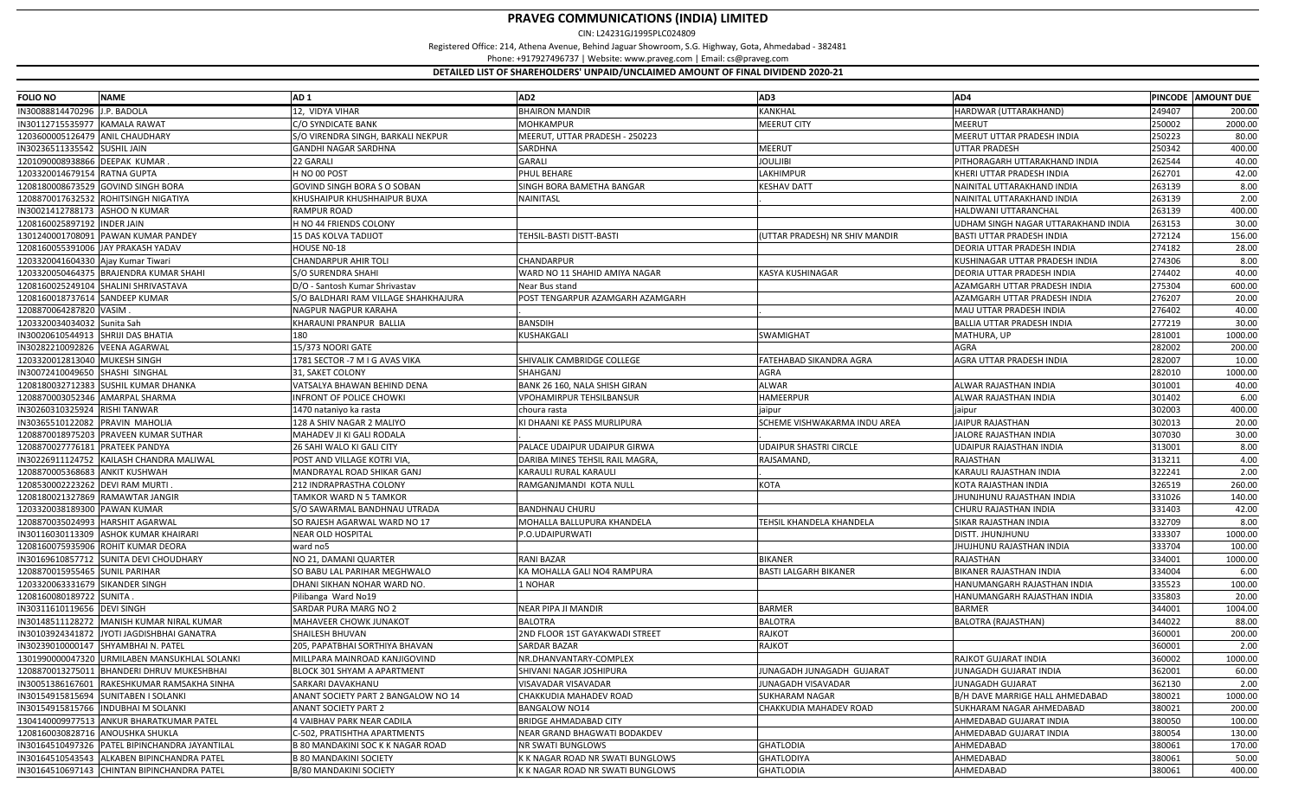| <b>FOLIO NO</b>                    | <b>NAME</b>                                    | AD <sub>1</sub>                      | AD <sub>2</sub>                  | AD3                           | AD4                                 |        | PINCODE AMOUNT DUE |
|------------------------------------|------------------------------------------------|--------------------------------------|----------------------------------|-------------------------------|-------------------------------------|--------|--------------------|
| IN30088814470296 J.P. BADOLA       |                                                | 12, VIDYA VIHAR                      | <b>BHAIRON MANDIR</b>            | KANKHAL                       | HARDWAR (UTTARAKHAND)               | 249407 | 200.00             |
| IN30112715535977 KAMALA RAWAT      |                                                | C/O SYNDICATE BANK                   | <b>MOHKAMPUR</b>                 | <b>MEERUT CITY</b>            | <b>MEERUT</b>                       | 250002 | 2000.00            |
|                                    | 1203600005126479 ANIL CHAUDHARY                | S/O VIRENDRA SINGH, BARKALI NEKPUR   | MEERUT, UTTAR PRADESH - 250223   |                               | MEERUT UTTAR PRADESH INDIA          | 250223 | 80.00              |
| IN30236511335542 SUSHIL JAIN       |                                                | <b>GANDHI NAGAR SARDHNA</b>          | SARDHNA                          | <b>MEERUT</b>                 | UTTAR PRADESH                       | 250342 | 400.00             |
| 1201090008938866 DEEPAK KUMAR      |                                                | 22 GARALI                            | GARALI                           | <b>JOULJIBI</b>               | PITHORAGARH UTTARAKHAND INDIA       | 262544 | 40.00              |
| 1203320014679154 RATNA GUPTA       |                                                | H NO 00 POST                         | PHUL BEHARE                      | LAKHIMPUR                     | KHERI UTTAR PRADESH INDIA           | 262701 | 42.00              |
|                                    | 1208180008673529 GOVIND SINGH BORA             | GOVIND SINGH BORA S O SOBAN          | SINGH BORA BAMETHA BANGAR        | KESHAV DATT                   | NAINITAL UTTARAKHAND INDIA          | 263139 | 8.00               |
|                                    | 1208870017632532 ROHITSINGH NIGATIYA           | KHUSHAIPUR KHUSHHAIPUR BUXA          | NAINITASL                        |                               | NAINITAL UTTARAKHAND INDIA          | 263139 | 2.00               |
| IN30021412788173 ASHOO N KUMAR     |                                                | RAMPUR ROAD                          |                                  |                               | HALDWANI UTTARANCHAL                | 263139 | 400.00             |
| 1208160025897192 INDER JAIN        |                                                | H NO 44 FRIENDS COLONY               |                                  |                               | UDHAM SINGH NAGAR UTTARAKHAND INDIA | 263153 | 30.00              |
| 1301240001708091                   | PAWAN KUMAR PANDEY                             | <b>15 DAS KOLVA TADIJOT</b>          | TEHSIL-BASTI DISTT-BASTI         | UTTAR PRADESH) NR SHIV MANDIR | <b>BASTI UTTAR PRADESH INDIA</b>    | 272124 | 156.00             |
| 1208160055391006                   | JAY PRAKASH YADAV                              | HOUSE NO-18                          |                                  |                               | DEORIA UTTAR PRADESH INDIA          | 274182 | 28.00              |
| 1203320041604330 Ajay Kumar Tiwari |                                                | <b>CHANDARPUR AHIR TOLI</b>          | CHANDARPUR                       |                               | KUSHINAGAR UTTAR PRADESH INDIA      | 274306 | 8.00               |
|                                    | 1203320050464375 BRAJENDRA KUMAR SHAHI         | S/O SURENDRA SHAHI                   | WARD NO 11 SHAHID AMIYA NAGAR    | KASYA KUSHINAGAR              | DEORIA UTTAR PRADESH INDIA          | 274402 | 40.00              |
|                                    | 1208160025249104 SHALINI SHRIVASTAVA           | D/O - Santosh Kumar Shrivastav       | Near Bus stand                   |                               | AZAMGARH UTTAR PRADESH INDIA        | 275304 | 600.00             |
| 1208160018737614 SANDEEP KUMAR     |                                                | S/O BALDHARI RAM VILLAGE SHAHKHAJURA | POST TENGARPUR AZAMGARH AZAMGARH |                               | AZAMGARH UTTAR PRADESH INDIA        | 276207 | 20.00              |
| 1208870064287820 VASIM.            |                                                | NAGPUR NAGPUR KARAHA                 |                                  |                               | MAU UTTAR PRADESH INDIA             | 276402 | 40.00              |
| 1203320034034032 Sunita Sah        |                                                | KHARAUNI PRANPUR BALLIA              | <b>BANSDIH</b>                   |                               | <b>BALLIA UTTAR PRADESH INDIA</b>   | 277219 | 30.00              |
|                                    | IN30020610544913 SHRIJI DAS BHATIA             | 180                                  | KUSHAKGALI                       | <b>SWAMIGHAT</b>              | MATHURA, UP                         | 281001 | 1000.00            |
| IN30282210092826 VEENA AGARWAL     |                                                | 15/373 NOORI GATE                    |                                  |                               | AGRA                                | 282002 | 200.00             |
| 1203320012813040 MUKESH SINGH      |                                                | 1781 SECTOR -7 M I G AVAS VIKA       | SHIVALIK CAMBRIDGE COLLEGE       | FATEHABAD SIKANDRA AGRA       | AGRA UTTAR PRADESH INDIA            | 282007 | 10.00              |
| IN30072410049650 SHASHI SINGHAI    |                                                | 31, SAKET COLONY                     | SHAHGANJ                         | AGRA                          |                                     | 282010 | 1000.00            |
| 1208180032712383                   | <b>SUSHIL KUMAR DHANKA</b>                     | VATSALYA BHAWAN BEHIND DENA          | BANK 26 160, NALA SHISH GIRAN    | <b>ALWAR</b>                  | ALWAR RAJASTHAN INDIA               | 301001 | 40.00              |
|                                    | 1208870003052346 AMARPAL SHARMA                | INFRONT OF POLICE CHOWKI             | VPOHAMIRPUR TEHSILBANSUR         | HAMEERPUR                     | ALWAR RAJASTHAN INDIA               | 301402 | 6.00               |
| IN30260310325924 RISHI TANWAR      |                                                | 1470 nataniyo ka rasta               | choura rasta                     | aipur                         | jaipur                              | 302003 | 400.00             |
| IN30365510122082                   | <b>PRAVIN MAHOLIA</b>                          | 128 A SHIV NAGAR 2 MALIYO            | KI DHAANI KE PASS MURLIPURA      | SCHEME VISHWAKARMA INDU AREA  | JAIPUR RAJASTHAN                    | 302013 | 20.00              |
|                                    | 1208870018975203 PRAVEEN KUMAR SUTHAR          | MAHADEV JI KI GALI RODALA            |                                  |                               | IALORE RAJASTHAN INDIA              | 307030 | 30.00              |
| 1208870027776181                   | <b>PRATEEK PANDYA</b>                          | 26 SAHI WALO KI GALI CITY            | PALACE UDAIPUR UDAIPUR GIRWA     | UDAIPUR SHASTRI CIRCLE        | UDAIPUR RAJASTHAN INDIA             | 313001 | 8.00               |
|                                    | IN30226911124752 KAILASH CHANDRA MALIWAL       | POST AND VILLAGE KOTRI VIA,          | DARIBA MINES TEHSIL RAIL MAGRA,  | RAJSAMAND,                    | RAJASTHAN                           | 313211 | 4.00               |
| 1208870005368683 ANKIT KUSHWAH     |                                                | MANDRAYAL ROAD SHIKAR GANJ           | KARAULI RURAL KARAULI            |                               | KARAULI RAJASTHAN INDIA             | 322241 | 2.00               |
| 1208530002223262 DEVI RAM MURTI    |                                                | 212 INDRAPRASTHA COLONY              | RAMGANJMANDI KOTA NULL           | KOTA                          | KOTA RAJASTHAN INDIA                | 326519 | 260.00             |
|                                    | 1208180021327869 RAMAWTAR JANGIR               | TAMKOR WARD N 5 TAMKOR               |                                  |                               | IHUNJHUNU RAJASTHAN INDIA           | 331026 | 140.00             |
| 1203320038189300                   | <b>PAWAN KUMAR</b>                             | S/O SAWARMAL BANDHNAU UTRADA         | BANDHNAU CHURU                   |                               | CHURU RAJASTHAN INDIA               | 331403 | 42.00              |
| 1208870035024993                   | HARSHIT AGARWAL                                | SO RAJESH AGARWAL WARD NO 17         | MOHALLA BALLUPURA KHANDELA       | TEHSIL KHANDELA KHANDELA      | SIKAR RAJASTHAN INDIA               | 332709 | 8.00               |
| IN30116030113309                   | ASHOK KUMAR KHAIRARI                           | <b>NEAR OLD HOSPITAL</b>             | P.O.UDAIPURWATI                  |                               | DISTT. JHUNJHUNU                    | 333307 | 1000.00            |
| 1208160075935906                   | ROHIT KUMAR DEORA                              | ward no5                             |                                  |                               | IHUJHUNU RAJASTHAN INDIA            | 333704 | 100.00             |
|                                    | IN30169610857712 SUNITA DEVI CHOUDHARY         | NO 21, DAMANI QUARTER                | <b>RANI BAZAR</b>                | <b>BIKANER</b>                | RAJASTHAN                           | 334001 | 1000.00            |
| 1208870015955465 SUNIL PARIHAR     |                                                | SO BABU LAL PARIHAR MEGHWALO         | KA MOHALLA GALI NO4 RAMPURA      | <b>BASTI LALGARH BIKANER</b>  | BIKANER RAJASTHAN INDIA             | 334004 | 6.00               |
| 1203320063331679                   | <b>SIKANDER SINGH</b>                          | DHANI SIKHAN NOHAR WARD NO           | 1 NOHAR                          |                               | HANUMANGARH RAJASTHAN INDIA         | 335523 | 100.00             |
| 1208160080189722 SUNITA            |                                                | Pilibanga Ward No19                  |                                  |                               | HANUMANGARH RAJASTHAN INDIA         | 335803 | 20.00              |
| IN30311610119656                   | <b>DEVI SINGH</b>                              | SARDAR PURA MARG NO 2                | NEAR PIPA JI MANDIR              | <b>BARMER</b>                 | <b>BARMER</b>                       | 344001 | 1004.00            |
| IN30148511128272                   | MANISH KUMAR NIRAL KUMAR                       | MAHAVEER CHOWK JUNAKOT               | <b>BALOTRA</b>                   | <b>BALOTRA</b>                | BALOTRA (RAJASTHAN)                 | 344022 | 88.00              |
| IN30103924341872                   | YOTI JAGDISHBHAI GANATRA                       | <b>SHAILESH BHUVAN</b>               | 2ND FLOOR 1ST GAYAKWADI STREET   | <b>RAJKOT</b>                 |                                     | 360001 | 200.00             |
| IN30239010000147                   | SHYAMBHAI N. PATEL                             | 205, PAPATBHAI SORTHIYA BHAVAN       | SARDAR BAZAR                     | <b>RAJKOT</b>                 |                                     | 360001 | 2.00               |
|                                    | 1301990000047320 URMILABEN MANSUKHLAL SOLANKI  | MILLPARA MAINROAD KANJIGOVIND        | NR.DHANVANTARY-COMPLEX           |                               | RAJKOT GUJARAT INDIA                | 360002 | 1000.00            |
|                                    | 1208870013275011 BHANDERI DHRUV MUKESHBHAI     | BLOCK 301 SHYAM A APARTMENT          | SHIVANI NAGAR JOSHIPURA          | JUNAGADH JUNAGADH GUJARAT     | IUNAGADH GUJARAT INDIA              | 362001 | 60.00              |
|                                    | IN30051386167601 RAKESHKUMAR RAMSAKHA SINHA    | SARKARI DAVAKHANU                    | VISAVADAR VISAVADAR              | JUNAGADH VISAVADAR            | <b>JUNAGADH GUJARAT</b>             | 362130 | 2.00               |
|                                    | IN30154915815694 SUNITABEN I SOLANKI           | ANANT SOCIETY PART 2 BANGALOW NO 14  | CHAKKUDIA MAHADEV ROAD           | <b>SUKHARAM NAGAR</b>         | B/H DAVE MARRIGE HALL AHMEDABAD     | 380021 | 1000.00            |
|                                    | IN30154915815766 INDUBHAI M SOLANKI            | <b>ANANT SOCIETY PART 2</b>          | <b>BANGALOW NO14</b>             | CHAKKUDIA MAHADEV ROAD        | SUKHARAM NAGAR AHMEDABAD            | 380021 | 200.00             |
|                                    | 1304140009977513 ANKUR BHARATKUMAR PATEL       | 4 VAIBHAV PARK NEAR CADILA           | <b>BRIDGE AHMADABAD CITY</b>     |                               | AHMEDABAD GUJARAT INDIA             | 380050 | 100.00             |
|                                    | 1208160030828716 ANOUSHKA SHUKLA               | C-502, PRATISHTHA APARTMENTS         | NEAR GRAND BHAGWATI BODAKDEV     |                               | AHMEDABAD GUJARAT INDIA             | 380054 | 130.00             |
|                                    | IN30164510497326 PATEL BIPINCHANDRA JAYANTILAL | B 80 MANDAKINI SOC K K NAGAR ROAD    | NR SWATI BUNGLOWS                | <b>GHATLODIA</b>              | AHMEDABAD                           | 380061 | 170.00             |
|                                    | IN30164510543543 ALKABEN BIPINCHANDRA PATEL    | <b>B 80 MANDAKINI SOCIETY</b>        | K K NAGAR ROAD NR SWATI BUNGLOWS | <b>GHATLODIYA</b>             | AHMEDABAD                           | 380061 | 50.00              |
| IN30164510697143                   | CHINTAN BIPINCHANDRA PATEL                     | B/80 MANDAKINI SOCIETY               | K K NAGAR ROAD NR SWATI BUNGLOWS | <b>GHATLODIA</b>              | AHMEDABAD                           | 380061 | 400.00             |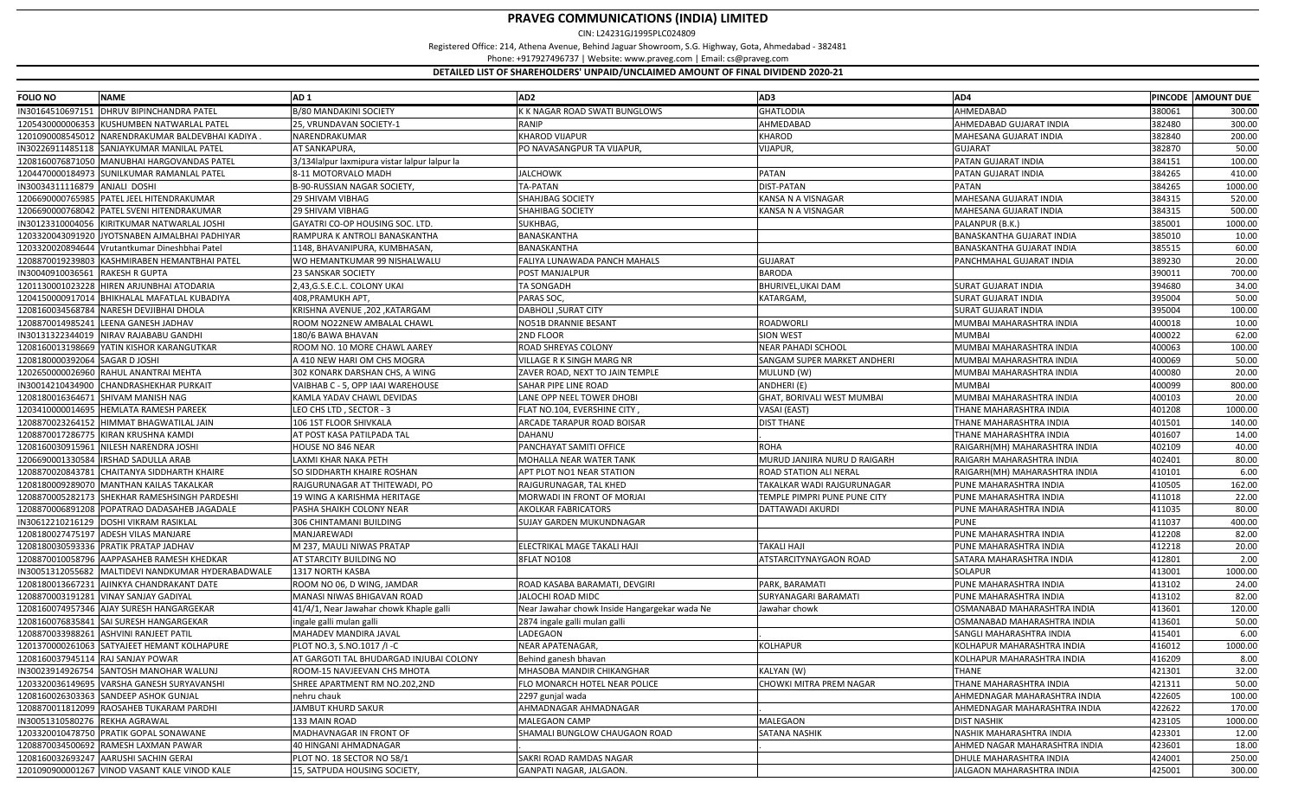| IN30164510697151   DHRUV BIPINCHANDRA PATEL<br>3/80 MANDAKINI SOCIETY<br>K K NAGAR ROAD SWATI BUNGLOWS<br><b>GHATLODIA</b><br>AHMEDABAD<br>380061<br>1205430000006353 KUSHUMBEN NATWARLAL PATEL<br>RANIP<br>AHMEDABAD<br>AHMEDABAD GUJARAT INDIA<br>382480<br>25, VRUNDAVAN SOCIETY-1<br>1201090008545012 NARENDRAKUMAR BALDEVBHAI KADIYA.<br>NARENDRAKUMAR<br>KHAROD VIJAPUR<br><b>KHAROD</b><br>MAHESANA GUJARAT INDIA<br>382840<br>382870<br>IN30226911485118 SANJAYKUMAR MANILAL PATEL<br>AT SANKAPURA,<br>PO NAVASANGPUR TA VIJAPUR,<br><b>VIJAPUR</b><br><b>GUJARAT</b><br>384151<br>1208160076871050 MANUBHAI HARGOVANDAS PATEL<br>PATAN GUJARAT INDIA<br>3/134lalpur laxmipura vistar lalpur lalpur la<br>1204470000184973 SUNILKUMAR RAMANLAL PATEL<br>JALCHOWK<br><b>PATAN</b><br>PATAN GUJARAT INDIA<br>384265<br>3-11 MOTORVALO MADH<br>TA-PATAN<br>384265<br>IN30034311116879 ANJALI DOSHI<br>B-90-RUSSIAN NAGAR SOCIETY,<br>DIST-PATAN<br><b>PATAN</b><br>1206690000765985 PATEL JEEL HITENDRAKUMAR<br>29 SHIVAM VIBHAG<br><b>SHAHJBAG SOCIETY</b><br>KANSA N A VISNAGAR<br>MAHESANA GUJARAT INDIA<br>384315<br>1206690000768042 PATEL SVENI HITENDRAKUMAR<br>SHAHIBAG SOCIETY<br>MAHESANA GUJARAT INDIA<br>384315<br>29 SHIVAM VIBHAG<br>KANSA N A VISNAGAR<br>GAYATRI CO-OP HOUSING SOC. LTD.<br>385001<br>IN30123310004056 KIRITKUMAR NATWARLAL JOSHI<br>SUKHBAG,<br>PALANPUR (B.K.)<br>385010<br>1203320043091920 JYOTSNABEN AJMALBHAI PADHIYAR<br>RAMPURA K ANTROLI BANASKANTHA<br>BANASKANTHA<br><b>BANASKANTHA GUJARAT INDIA</b><br>1203320020894644 Vrutantkumar Dineshbhai Patel<br>BANASKANTHA<br><b>BANASKANTHA GUJARAT INDIA</b><br>385515<br>1148, BHAVANIPURA, KUMBHASAN,<br>1208870019239803 KASHMIRABEN HEMANTBHAI PATEL<br>WO HEMANTKUMAR 99 NISHALWALU<br>FALIYA LUNAWADA PANCH MAHALS<br><b>GUJARAT</b><br>PANCHMAHAL GUJARAT INDIA<br>389230<br>IN30040910036561 RAKESH R GUPTA<br>23 SANSKAR SOCIETY<br>POST MANJALPUR<br><b>BARODA</b><br>390011<br>1201130001023228 HIREN ARJUNBHAI ATODARIA<br>2,43,G.S.E.C.L. COLONY UKAI<br>TA SONGADH<br><b>SURAT GUJARAT INDIA</b><br>394680<br>BHURIVEL, UKAI DAM<br>395004<br>1204150000917014 BHIKHALAL MAFATLAL KUBADIYA<br>PARAS SOC,<br>408,PRAMUKH APT,<br>KATARGAM<br><b>SURAT GUJARAT INDIA</b><br>395004<br>1208160034568784 NARESH DEVJIBHAI DHOLA<br>KRISHNA AVENUE ,202 ,KATARGAM<br><b>DABHOLI, SURAT CITY</b><br><b>SURAT GUJARAT INDIA</b><br>1208870014985241 LEENA GANESH JADHAV<br>400018<br>ROOM NO22NEW AMBALAL CHAWL<br>NO51B DRANNIE BESANT<br>ROADWORLI<br>MUMBAI MAHARASHTRA INDIA<br>IN30131322344019 NIRAV RAJABABU GANDHI<br>2ND FLOOR<br><b>SION WEST</b><br><b>MUMBAI</b><br>400022<br>180/6 BAWA BHAVAN<br>1208160013198669 YATIN KISHOR KARANGUTKAR<br>ROOM NO. 10 MORE CHAWL AAREY<br>ROAD SHREYAS COLONY<br><b>NEAR PAHADI SCHOOL</b><br>MUMBAI MAHARASHTRA INDIA<br>400063<br>400069<br>1208180000392064 SAGAR D JOSHI<br>VILLAGE R K SINGH MARG NR<br>SANGAM SUPER MARKET ANDHERI<br>MUMBAI MAHARASHTRA INDIA<br>A 410 NEW HARI OM CHS MOGRA<br>1202650000026960 RAHUL ANANTRAI MEHTA<br>302 KONARK DARSHAN CHS, A WING<br>ZAVER ROAD, NEXT TO JAIN TEMPLE<br>MULUND (W)<br>MUMBAI MAHARASHTRA INDIA<br>400080<br>400099<br>IN30014210434900 CHANDRASHEKHAR PURKAIT<br>VAIBHAB C - 5, OPP IAAI WAREHOUSE<br>SAHAR PIPE LINE ROAD<br>ANDHERI (E)<br><b>MUMBAI</b><br>1208180016364671 SHIVAM MANISH NAG<br>KAMLA YADAV CHAWL DEVIDAS<br>ANE OPP NEEL TOWER DHOBI<br>GHAT, BORIVALI WEST MUMBAI<br>MUMBAI MAHARASHTRA INDIA<br>400103<br>1203410000014695 HEMLATA RAMESH PAREEK<br>401208<br>LEO CHS LTD , SECTOR - 3<br>FLAT NO.104, EVERSHINE CITY,<br>VASAI (EAST)<br>THANE MAHARASHTRA INDIA<br>1208870023264152 HIMMAT BHAGWATILAL JAIN<br>106 1ST FLOOR SHIVKALA<br>ARCADE TARAPUR ROAD BOISAR<br><b>DIST THANE</b><br>THANE MAHARASHTRA INDIA<br>401501<br>1208870017286775 KIRAN KRUSHNA KAMDI<br>AT POST KASA PATILPADA TAL<br>401607<br>DAHANU<br>THANE MAHARASHTRA INDIA<br>402109<br>1208160030915961 NILESH NARENDRA JOSHI<br><b>IOUSE NO 846 NEAR</b><br>PANCHAYAT SAMITI OFFICE<br><b>ROHA</b><br>RAIGARH(MH) MAHARASHTRA INDIA<br>1206690001330584   IRSHAD SADULLA ARAB<br>AXMI KHAR NAKA PETH<br>MOHALLA NEAR WATER TANK<br>MURUD JANJIRA NURU D RAIGARH<br>RAIGARH MAHARASHTRA INDIA<br>402401<br>1208870020843781 CHAITANYA SIDDHARTH KHAIRE<br>SO SIDDHARTH KHAIRE ROSHAN<br>APT PLOT NO1 NEAR STATION<br>ROAD STATION ALI NERAL<br>RAIGARH(MH) MAHARASHTRA INDIA<br>410101<br>1208180009289070 MANTHAN KAILAS TAKALKAR<br>RAJGURUNAGAR AT THITEWADI, PO<br>RAJGURUNAGAR, TAL KHED<br>TAKALKAR WADI RAJGURUNAGAR<br>PUNE MAHARASHTRA INDIA<br>410505<br>411018<br>1208870005282173 SHEKHAR RAMESHSINGH PARDESHI<br>19 WING A KARISHMA HERITAGE<br>MORWADI IN FRONT OF MORJAI<br>TEMPLE PIMPRI PUNE PUNE CITY<br>PUNE MAHARASHTRA INDIA<br>411035<br>1208870006891208 POPATRAO DADASAHEB JAGADALE<br>PASHA SHAIKH COLONY NEAR<br>AKOLKAR FABRICATORS<br>DATTAWADI AKURDI<br>PUNE MAHARASHTRA INDIA<br>411037<br>IN30612210216129   DOSHI VIKRAM RASIKLAL<br>306 CHINTAMANI BUILDING<br>SUJAY GARDEN MUKUNDNAGAR<br><b>PUNE</b><br>412208<br>1208180027475197 ADESH VILAS MANJARE<br>MANJAREWADI<br>PUNE MAHARASHTRA INDIA<br>1208180030593336 PRATIK PRATAP JADHAV<br>ELECTRIKAL MAGE TAKALI HAJ<br>412218<br>M 237, MAULI NIWAS PRATAP<br><b>TAKALI HAJI</b><br>PUNE MAHARASHTRA INDIA<br>412801<br>1208870010058796 AAPPASAHEB RAMESH KHEDKAR<br>AT STARCITY BUILDING NO<br>8FLAT NO108<br>ATSTARCITYNAYGAON ROAD<br>SATARA MAHARASHTRA INDIA<br>413001<br>IN30051312055682   MALTIDEVI NANDKUMAR HYDERABADWALE<br>1317 NORTH KASBA<br><b>SOLAPUR</b><br>PUNE MAHARASHTRA INDIA<br>413102<br>1208180013667231 AJINKYA CHANDRAKANT DATE<br>ROAD KASABA BARAMATI, DEVGIRI<br>PARK, BARAMATI<br>ROOM NO 06, D WING, JAMDAR<br>413102<br>1208870003191281 VINAY SANJAY GADIYAL<br>MANASI NIWAS BHIGAVAN ROAD<br>JALOCHI ROAD MIDC<br>SURYANAGARI BARAMATI<br>PUNE MAHARASHTRA INDIA<br>413601<br>1208160074957346 AJAY SURESH HANGARGEKAR<br>41/4/1, Near Jawahar chowk Khaple galli<br>OSMANABAD MAHARASHTRA INDIA<br>Near Jawahar chowk Inside Hangargekar wada Ne<br>Jawahar chowk<br>1208160076835841 SAI SURESH HANGARGEKAR<br>OSMANABAD MAHARASHTRA INDIA<br>413601<br>2874 ingale galli mulan galli<br>ngale galli mulan galli<br>1208870033988261 ASHVINI RANJEET PATIL<br>LADEGAON<br>415401<br>MAHADEV MANDIRA JAVAL<br>SANGLI MAHARASHTRA INDIA<br>1201370000261063 SATYAJEET HEMANT KOLHAPURE<br>PLOT NO.3, S.NO.1017 /I -C<br>NEAR APATENAGAR,<br><b>KOLHAPUR</b><br>KOLHAPUR MAHARASHTRA INDIA<br>416012<br>1208160037945114 RAJ SANJAY POWAR | <b>FOLIO NO</b> | <b>NAME</b> | AD <sub>1</sub>                         | AD <sub>2</sub>      | AD3 | AD4                        |        | PINCODE AMOUNT DUE |
|-------------------------------------------------------------------------------------------------------------------------------------------------------------------------------------------------------------------------------------------------------------------------------------------------------------------------------------------------------------------------------------------------------------------------------------------------------------------------------------------------------------------------------------------------------------------------------------------------------------------------------------------------------------------------------------------------------------------------------------------------------------------------------------------------------------------------------------------------------------------------------------------------------------------------------------------------------------------------------------------------------------------------------------------------------------------------------------------------------------------------------------------------------------------------------------------------------------------------------------------------------------------------------------------------------------------------------------------------------------------------------------------------------------------------------------------------------------------------------------------------------------------------------------------------------------------------------------------------------------------------------------------------------------------------------------------------------------------------------------------------------------------------------------------------------------------------------------------------------------------------------------------------------------------------------------------------------------------------------------------------------------------------------------------------------------------------------------------------------------------------------------------------------------------------------------------------------------------------------------------------------------------------------------------------------------------------------------------------------------------------------------------------------------------------------------------------------------------------------------------------------------------------------------------------------------------------------------------------------------------------------------------------------------------------------------------------------------------------------------------------------------------------------------------------------------------------------------------------------------------------------------------------------------------------------------------------------------------------------------------------------------------------------------------------------------------------------------------------------------------------------------------------------------------------------------------------------------------------------------------------------------------------------------------------------------------------------------------------------------------------------------------------------------------------------------------------------------------------------------------------------------------------------------------------------------------------------------------------------------------------------------------------------------------------------------------------------------------------------------------------------------------------------------------------------------------------------------------------------------------------------------------------------------------------------------------------------------------------------------------------------------------------------------------------------------------------------------------------------------------------------------------------------------------------------------------------------------------------------------------------------------------------------------------------------------------------------------------------------------------------------------------------------------------------------------------------------------------------------------------------------------------------------------------------------------------------------------------------------------------------------------------------------------------------------------------------------------------------------------------------------------------------------------------------------------------------------------------------------------------------------------------------------------------------------------------------------------------------------------------------------------------------------------------------------------------------------------------------------------------------------------------------------------------------------------------------------------------------------------------------------------------------------------------------------------------------------------------------------------------------------------------------------------------------------------------------------------------------------------------------------------------------------------------------------------------------------------------------------------------------------------------------------------------------------------------------------------------------------------------------------------------------------------------------------------------------------------------------------------------------------------------------------------------------------------------------------------------------------------------------------------------------------------------------------------------------------------------------------------------------------------------------------------------------------------------------------------------------------------------------------------------------------------------------------------------------------------------------------------------------------------------------------------------------------------------------------------------------------------------------------------------------------------------------------------------------------------------------------------------------------------------------------------------------------------------|-----------------|-------------|-----------------------------------------|----------------------|-----|----------------------------|--------|--------------------|
|                                                                                                                                                                                                                                                                                                                                                                                                                                                                                                                                                                                                                                                                                                                                                                                                                                                                                                                                                                                                                                                                                                                                                                                                                                                                                                                                                                                                                                                                                                                                                                                                                                                                                                                                                                                                                                                                                                                                                                                                                                                                                                                                                                                                                                                                                                                                                                                                                                                                                                                                                                                                                                                                                                                                                                                                                                                                                                                                                                                                                                                                                                                                                                                                                                                                                                                                                                                                                                                                                                                                                                                                                                                                                                                                                                                                                                                                                                                                                                                                                                                                                                                                                                                                                                                                                                                                                                                                                                                                                                                                                                                                                                                                                                                                                                                                                                                                                                                                                                                                                                                                                                                                                                                                                                                                                                                                                                                                                                                                                                                                                                                                                                                                                                                                                                                                                                                                                                                                                                                                                                                                                                                                                                                                                                                                                                                                                                                                                                                                                                                                                                                                                                                                                           |                 |             |                                         |                      |     |                            |        | 300.00             |
|                                                                                                                                                                                                                                                                                                                                                                                                                                                                                                                                                                                                                                                                                                                                                                                                                                                                                                                                                                                                                                                                                                                                                                                                                                                                                                                                                                                                                                                                                                                                                                                                                                                                                                                                                                                                                                                                                                                                                                                                                                                                                                                                                                                                                                                                                                                                                                                                                                                                                                                                                                                                                                                                                                                                                                                                                                                                                                                                                                                                                                                                                                                                                                                                                                                                                                                                                                                                                                                                                                                                                                                                                                                                                                                                                                                                                                                                                                                                                                                                                                                                                                                                                                                                                                                                                                                                                                                                                                                                                                                                                                                                                                                                                                                                                                                                                                                                                                                                                                                                                                                                                                                                                                                                                                                                                                                                                                                                                                                                                                                                                                                                                                                                                                                                                                                                                                                                                                                                                                                                                                                                                                                                                                                                                                                                                                                                                                                                                                                                                                                                                                                                                                                                                           |                 |             |                                         |                      |     |                            |        | 300.00             |
|                                                                                                                                                                                                                                                                                                                                                                                                                                                                                                                                                                                                                                                                                                                                                                                                                                                                                                                                                                                                                                                                                                                                                                                                                                                                                                                                                                                                                                                                                                                                                                                                                                                                                                                                                                                                                                                                                                                                                                                                                                                                                                                                                                                                                                                                                                                                                                                                                                                                                                                                                                                                                                                                                                                                                                                                                                                                                                                                                                                                                                                                                                                                                                                                                                                                                                                                                                                                                                                                                                                                                                                                                                                                                                                                                                                                                                                                                                                                                                                                                                                                                                                                                                                                                                                                                                                                                                                                                                                                                                                                                                                                                                                                                                                                                                                                                                                                                                                                                                                                                                                                                                                                                                                                                                                                                                                                                                                                                                                                                                                                                                                                                                                                                                                                                                                                                                                                                                                                                                                                                                                                                                                                                                                                                                                                                                                                                                                                                                                                                                                                                                                                                                                                                           |                 |             |                                         |                      |     |                            |        | 200.00             |
|                                                                                                                                                                                                                                                                                                                                                                                                                                                                                                                                                                                                                                                                                                                                                                                                                                                                                                                                                                                                                                                                                                                                                                                                                                                                                                                                                                                                                                                                                                                                                                                                                                                                                                                                                                                                                                                                                                                                                                                                                                                                                                                                                                                                                                                                                                                                                                                                                                                                                                                                                                                                                                                                                                                                                                                                                                                                                                                                                                                                                                                                                                                                                                                                                                                                                                                                                                                                                                                                                                                                                                                                                                                                                                                                                                                                                                                                                                                                                                                                                                                                                                                                                                                                                                                                                                                                                                                                                                                                                                                                                                                                                                                                                                                                                                                                                                                                                                                                                                                                                                                                                                                                                                                                                                                                                                                                                                                                                                                                                                                                                                                                                                                                                                                                                                                                                                                                                                                                                                                                                                                                                                                                                                                                                                                                                                                                                                                                                                                                                                                                                                                                                                                                                           |                 |             |                                         |                      |     |                            |        | 50.00              |
|                                                                                                                                                                                                                                                                                                                                                                                                                                                                                                                                                                                                                                                                                                                                                                                                                                                                                                                                                                                                                                                                                                                                                                                                                                                                                                                                                                                                                                                                                                                                                                                                                                                                                                                                                                                                                                                                                                                                                                                                                                                                                                                                                                                                                                                                                                                                                                                                                                                                                                                                                                                                                                                                                                                                                                                                                                                                                                                                                                                                                                                                                                                                                                                                                                                                                                                                                                                                                                                                                                                                                                                                                                                                                                                                                                                                                                                                                                                                                                                                                                                                                                                                                                                                                                                                                                                                                                                                                                                                                                                                                                                                                                                                                                                                                                                                                                                                                                                                                                                                                                                                                                                                                                                                                                                                                                                                                                                                                                                                                                                                                                                                                                                                                                                                                                                                                                                                                                                                                                                                                                                                                                                                                                                                                                                                                                                                                                                                                                                                                                                                                                                                                                                                                           |                 |             |                                         |                      |     |                            |        | 100.00             |
|                                                                                                                                                                                                                                                                                                                                                                                                                                                                                                                                                                                                                                                                                                                                                                                                                                                                                                                                                                                                                                                                                                                                                                                                                                                                                                                                                                                                                                                                                                                                                                                                                                                                                                                                                                                                                                                                                                                                                                                                                                                                                                                                                                                                                                                                                                                                                                                                                                                                                                                                                                                                                                                                                                                                                                                                                                                                                                                                                                                                                                                                                                                                                                                                                                                                                                                                                                                                                                                                                                                                                                                                                                                                                                                                                                                                                                                                                                                                                                                                                                                                                                                                                                                                                                                                                                                                                                                                                                                                                                                                                                                                                                                                                                                                                                                                                                                                                                                                                                                                                                                                                                                                                                                                                                                                                                                                                                                                                                                                                                                                                                                                                                                                                                                                                                                                                                                                                                                                                                                                                                                                                                                                                                                                                                                                                                                                                                                                                                                                                                                                                                                                                                                                                           |                 |             |                                         |                      |     |                            |        | 410.00             |
|                                                                                                                                                                                                                                                                                                                                                                                                                                                                                                                                                                                                                                                                                                                                                                                                                                                                                                                                                                                                                                                                                                                                                                                                                                                                                                                                                                                                                                                                                                                                                                                                                                                                                                                                                                                                                                                                                                                                                                                                                                                                                                                                                                                                                                                                                                                                                                                                                                                                                                                                                                                                                                                                                                                                                                                                                                                                                                                                                                                                                                                                                                                                                                                                                                                                                                                                                                                                                                                                                                                                                                                                                                                                                                                                                                                                                                                                                                                                                                                                                                                                                                                                                                                                                                                                                                                                                                                                                                                                                                                                                                                                                                                                                                                                                                                                                                                                                                                                                                                                                                                                                                                                                                                                                                                                                                                                                                                                                                                                                                                                                                                                                                                                                                                                                                                                                                                                                                                                                                                                                                                                                                                                                                                                                                                                                                                                                                                                                                                                                                                                                                                                                                                                                           |                 |             |                                         |                      |     |                            |        | 1000.00            |
|                                                                                                                                                                                                                                                                                                                                                                                                                                                                                                                                                                                                                                                                                                                                                                                                                                                                                                                                                                                                                                                                                                                                                                                                                                                                                                                                                                                                                                                                                                                                                                                                                                                                                                                                                                                                                                                                                                                                                                                                                                                                                                                                                                                                                                                                                                                                                                                                                                                                                                                                                                                                                                                                                                                                                                                                                                                                                                                                                                                                                                                                                                                                                                                                                                                                                                                                                                                                                                                                                                                                                                                                                                                                                                                                                                                                                                                                                                                                                                                                                                                                                                                                                                                                                                                                                                                                                                                                                                                                                                                                                                                                                                                                                                                                                                                                                                                                                                                                                                                                                                                                                                                                                                                                                                                                                                                                                                                                                                                                                                                                                                                                                                                                                                                                                                                                                                                                                                                                                                                                                                                                                                                                                                                                                                                                                                                                                                                                                                                                                                                                                                                                                                                                                           |                 |             |                                         |                      |     |                            |        | 520.00             |
|                                                                                                                                                                                                                                                                                                                                                                                                                                                                                                                                                                                                                                                                                                                                                                                                                                                                                                                                                                                                                                                                                                                                                                                                                                                                                                                                                                                                                                                                                                                                                                                                                                                                                                                                                                                                                                                                                                                                                                                                                                                                                                                                                                                                                                                                                                                                                                                                                                                                                                                                                                                                                                                                                                                                                                                                                                                                                                                                                                                                                                                                                                                                                                                                                                                                                                                                                                                                                                                                                                                                                                                                                                                                                                                                                                                                                                                                                                                                                                                                                                                                                                                                                                                                                                                                                                                                                                                                                                                                                                                                                                                                                                                                                                                                                                                                                                                                                                                                                                                                                                                                                                                                                                                                                                                                                                                                                                                                                                                                                                                                                                                                                                                                                                                                                                                                                                                                                                                                                                                                                                                                                                                                                                                                                                                                                                                                                                                                                                                                                                                                                                                                                                                                                           |                 |             |                                         |                      |     |                            |        | 500.00             |
|                                                                                                                                                                                                                                                                                                                                                                                                                                                                                                                                                                                                                                                                                                                                                                                                                                                                                                                                                                                                                                                                                                                                                                                                                                                                                                                                                                                                                                                                                                                                                                                                                                                                                                                                                                                                                                                                                                                                                                                                                                                                                                                                                                                                                                                                                                                                                                                                                                                                                                                                                                                                                                                                                                                                                                                                                                                                                                                                                                                                                                                                                                                                                                                                                                                                                                                                                                                                                                                                                                                                                                                                                                                                                                                                                                                                                                                                                                                                                                                                                                                                                                                                                                                                                                                                                                                                                                                                                                                                                                                                                                                                                                                                                                                                                                                                                                                                                                                                                                                                                                                                                                                                                                                                                                                                                                                                                                                                                                                                                                                                                                                                                                                                                                                                                                                                                                                                                                                                                                                                                                                                                                                                                                                                                                                                                                                                                                                                                                                                                                                                                                                                                                                                                           |                 |             |                                         |                      |     |                            |        | 1000.00            |
|                                                                                                                                                                                                                                                                                                                                                                                                                                                                                                                                                                                                                                                                                                                                                                                                                                                                                                                                                                                                                                                                                                                                                                                                                                                                                                                                                                                                                                                                                                                                                                                                                                                                                                                                                                                                                                                                                                                                                                                                                                                                                                                                                                                                                                                                                                                                                                                                                                                                                                                                                                                                                                                                                                                                                                                                                                                                                                                                                                                                                                                                                                                                                                                                                                                                                                                                                                                                                                                                                                                                                                                                                                                                                                                                                                                                                                                                                                                                                                                                                                                                                                                                                                                                                                                                                                                                                                                                                                                                                                                                                                                                                                                                                                                                                                                                                                                                                                                                                                                                                                                                                                                                                                                                                                                                                                                                                                                                                                                                                                                                                                                                                                                                                                                                                                                                                                                                                                                                                                                                                                                                                                                                                                                                                                                                                                                                                                                                                                                                                                                                                                                                                                                                                           |                 |             |                                         |                      |     |                            |        | 10.00              |
|                                                                                                                                                                                                                                                                                                                                                                                                                                                                                                                                                                                                                                                                                                                                                                                                                                                                                                                                                                                                                                                                                                                                                                                                                                                                                                                                                                                                                                                                                                                                                                                                                                                                                                                                                                                                                                                                                                                                                                                                                                                                                                                                                                                                                                                                                                                                                                                                                                                                                                                                                                                                                                                                                                                                                                                                                                                                                                                                                                                                                                                                                                                                                                                                                                                                                                                                                                                                                                                                                                                                                                                                                                                                                                                                                                                                                                                                                                                                                                                                                                                                                                                                                                                                                                                                                                                                                                                                                                                                                                                                                                                                                                                                                                                                                                                                                                                                                                                                                                                                                                                                                                                                                                                                                                                                                                                                                                                                                                                                                                                                                                                                                                                                                                                                                                                                                                                                                                                                                                                                                                                                                                                                                                                                                                                                                                                                                                                                                                                                                                                                                                                                                                                                                           |                 |             |                                         |                      |     |                            |        | 60.00              |
|                                                                                                                                                                                                                                                                                                                                                                                                                                                                                                                                                                                                                                                                                                                                                                                                                                                                                                                                                                                                                                                                                                                                                                                                                                                                                                                                                                                                                                                                                                                                                                                                                                                                                                                                                                                                                                                                                                                                                                                                                                                                                                                                                                                                                                                                                                                                                                                                                                                                                                                                                                                                                                                                                                                                                                                                                                                                                                                                                                                                                                                                                                                                                                                                                                                                                                                                                                                                                                                                                                                                                                                                                                                                                                                                                                                                                                                                                                                                                                                                                                                                                                                                                                                                                                                                                                                                                                                                                                                                                                                                                                                                                                                                                                                                                                                                                                                                                                                                                                                                                                                                                                                                                                                                                                                                                                                                                                                                                                                                                                                                                                                                                                                                                                                                                                                                                                                                                                                                                                                                                                                                                                                                                                                                                                                                                                                                                                                                                                                                                                                                                                                                                                                                                           |                 |             |                                         |                      |     |                            |        | 20.00              |
|                                                                                                                                                                                                                                                                                                                                                                                                                                                                                                                                                                                                                                                                                                                                                                                                                                                                                                                                                                                                                                                                                                                                                                                                                                                                                                                                                                                                                                                                                                                                                                                                                                                                                                                                                                                                                                                                                                                                                                                                                                                                                                                                                                                                                                                                                                                                                                                                                                                                                                                                                                                                                                                                                                                                                                                                                                                                                                                                                                                                                                                                                                                                                                                                                                                                                                                                                                                                                                                                                                                                                                                                                                                                                                                                                                                                                                                                                                                                                                                                                                                                                                                                                                                                                                                                                                                                                                                                                                                                                                                                                                                                                                                                                                                                                                                                                                                                                                                                                                                                                                                                                                                                                                                                                                                                                                                                                                                                                                                                                                                                                                                                                                                                                                                                                                                                                                                                                                                                                                                                                                                                                                                                                                                                                                                                                                                                                                                                                                                                                                                                                                                                                                                                                           |                 |             |                                         |                      |     |                            |        | 700.00             |
|                                                                                                                                                                                                                                                                                                                                                                                                                                                                                                                                                                                                                                                                                                                                                                                                                                                                                                                                                                                                                                                                                                                                                                                                                                                                                                                                                                                                                                                                                                                                                                                                                                                                                                                                                                                                                                                                                                                                                                                                                                                                                                                                                                                                                                                                                                                                                                                                                                                                                                                                                                                                                                                                                                                                                                                                                                                                                                                                                                                                                                                                                                                                                                                                                                                                                                                                                                                                                                                                                                                                                                                                                                                                                                                                                                                                                                                                                                                                                                                                                                                                                                                                                                                                                                                                                                                                                                                                                                                                                                                                                                                                                                                                                                                                                                                                                                                                                                                                                                                                                                                                                                                                                                                                                                                                                                                                                                                                                                                                                                                                                                                                                                                                                                                                                                                                                                                                                                                                                                                                                                                                                                                                                                                                                                                                                                                                                                                                                                                                                                                                                                                                                                                                                           |                 |             |                                         |                      |     |                            |        | 34.00              |
|                                                                                                                                                                                                                                                                                                                                                                                                                                                                                                                                                                                                                                                                                                                                                                                                                                                                                                                                                                                                                                                                                                                                                                                                                                                                                                                                                                                                                                                                                                                                                                                                                                                                                                                                                                                                                                                                                                                                                                                                                                                                                                                                                                                                                                                                                                                                                                                                                                                                                                                                                                                                                                                                                                                                                                                                                                                                                                                                                                                                                                                                                                                                                                                                                                                                                                                                                                                                                                                                                                                                                                                                                                                                                                                                                                                                                                                                                                                                                                                                                                                                                                                                                                                                                                                                                                                                                                                                                                                                                                                                                                                                                                                                                                                                                                                                                                                                                                                                                                                                                                                                                                                                                                                                                                                                                                                                                                                                                                                                                                                                                                                                                                                                                                                                                                                                                                                                                                                                                                                                                                                                                                                                                                                                                                                                                                                                                                                                                                                                                                                                                                                                                                                                                           |                 |             |                                         |                      |     |                            |        | 50.00              |
|                                                                                                                                                                                                                                                                                                                                                                                                                                                                                                                                                                                                                                                                                                                                                                                                                                                                                                                                                                                                                                                                                                                                                                                                                                                                                                                                                                                                                                                                                                                                                                                                                                                                                                                                                                                                                                                                                                                                                                                                                                                                                                                                                                                                                                                                                                                                                                                                                                                                                                                                                                                                                                                                                                                                                                                                                                                                                                                                                                                                                                                                                                                                                                                                                                                                                                                                                                                                                                                                                                                                                                                                                                                                                                                                                                                                                                                                                                                                                                                                                                                                                                                                                                                                                                                                                                                                                                                                                                                                                                                                                                                                                                                                                                                                                                                                                                                                                                                                                                                                                                                                                                                                                                                                                                                                                                                                                                                                                                                                                                                                                                                                                                                                                                                                                                                                                                                                                                                                                                                                                                                                                                                                                                                                                                                                                                                                                                                                                                                                                                                                                                                                                                                                                           |                 |             |                                         |                      |     |                            |        | 100.00             |
|                                                                                                                                                                                                                                                                                                                                                                                                                                                                                                                                                                                                                                                                                                                                                                                                                                                                                                                                                                                                                                                                                                                                                                                                                                                                                                                                                                                                                                                                                                                                                                                                                                                                                                                                                                                                                                                                                                                                                                                                                                                                                                                                                                                                                                                                                                                                                                                                                                                                                                                                                                                                                                                                                                                                                                                                                                                                                                                                                                                                                                                                                                                                                                                                                                                                                                                                                                                                                                                                                                                                                                                                                                                                                                                                                                                                                                                                                                                                                                                                                                                                                                                                                                                                                                                                                                                                                                                                                                                                                                                                                                                                                                                                                                                                                                                                                                                                                                                                                                                                                                                                                                                                                                                                                                                                                                                                                                                                                                                                                                                                                                                                                                                                                                                                                                                                                                                                                                                                                                                                                                                                                                                                                                                                                                                                                                                                                                                                                                                                                                                                                                                                                                                                                           |                 |             |                                         |                      |     |                            |        | 10.00              |
|                                                                                                                                                                                                                                                                                                                                                                                                                                                                                                                                                                                                                                                                                                                                                                                                                                                                                                                                                                                                                                                                                                                                                                                                                                                                                                                                                                                                                                                                                                                                                                                                                                                                                                                                                                                                                                                                                                                                                                                                                                                                                                                                                                                                                                                                                                                                                                                                                                                                                                                                                                                                                                                                                                                                                                                                                                                                                                                                                                                                                                                                                                                                                                                                                                                                                                                                                                                                                                                                                                                                                                                                                                                                                                                                                                                                                                                                                                                                                                                                                                                                                                                                                                                                                                                                                                                                                                                                                                                                                                                                                                                                                                                                                                                                                                                                                                                                                                                                                                                                                                                                                                                                                                                                                                                                                                                                                                                                                                                                                                                                                                                                                                                                                                                                                                                                                                                                                                                                                                                                                                                                                                                                                                                                                                                                                                                                                                                                                                                                                                                                                                                                                                                                                           |                 |             |                                         |                      |     |                            |        | 62.00              |
|                                                                                                                                                                                                                                                                                                                                                                                                                                                                                                                                                                                                                                                                                                                                                                                                                                                                                                                                                                                                                                                                                                                                                                                                                                                                                                                                                                                                                                                                                                                                                                                                                                                                                                                                                                                                                                                                                                                                                                                                                                                                                                                                                                                                                                                                                                                                                                                                                                                                                                                                                                                                                                                                                                                                                                                                                                                                                                                                                                                                                                                                                                                                                                                                                                                                                                                                                                                                                                                                                                                                                                                                                                                                                                                                                                                                                                                                                                                                                                                                                                                                                                                                                                                                                                                                                                                                                                                                                                                                                                                                                                                                                                                                                                                                                                                                                                                                                                                                                                                                                                                                                                                                                                                                                                                                                                                                                                                                                                                                                                                                                                                                                                                                                                                                                                                                                                                                                                                                                                                                                                                                                                                                                                                                                                                                                                                                                                                                                                                                                                                                                                                                                                                                                           |                 |             |                                         |                      |     |                            |        | 100.00             |
|                                                                                                                                                                                                                                                                                                                                                                                                                                                                                                                                                                                                                                                                                                                                                                                                                                                                                                                                                                                                                                                                                                                                                                                                                                                                                                                                                                                                                                                                                                                                                                                                                                                                                                                                                                                                                                                                                                                                                                                                                                                                                                                                                                                                                                                                                                                                                                                                                                                                                                                                                                                                                                                                                                                                                                                                                                                                                                                                                                                                                                                                                                                                                                                                                                                                                                                                                                                                                                                                                                                                                                                                                                                                                                                                                                                                                                                                                                                                                                                                                                                                                                                                                                                                                                                                                                                                                                                                                                                                                                                                                                                                                                                                                                                                                                                                                                                                                                                                                                                                                                                                                                                                                                                                                                                                                                                                                                                                                                                                                                                                                                                                                                                                                                                                                                                                                                                                                                                                                                                                                                                                                                                                                                                                                                                                                                                                                                                                                                                                                                                                                                                                                                                                                           |                 |             |                                         |                      |     |                            |        | 50.00              |
|                                                                                                                                                                                                                                                                                                                                                                                                                                                                                                                                                                                                                                                                                                                                                                                                                                                                                                                                                                                                                                                                                                                                                                                                                                                                                                                                                                                                                                                                                                                                                                                                                                                                                                                                                                                                                                                                                                                                                                                                                                                                                                                                                                                                                                                                                                                                                                                                                                                                                                                                                                                                                                                                                                                                                                                                                                                                                                                                                                                                                                                                                                                                                                                                                                                                                                                                                                                                                                                                                                                                                                                                                                                                                                                                                                                                                                                                                                                                                                                                                                                                                                                                                                                                                                                                                                                                                                                                                                                                                                                                                                                                                                                                                                                                                                                                                                                                                                                                                                                                                                                                                                                                                                                                                                                                                                                                                                                                                                                                                                                                                                                                                                                                                                                                                                                                                                                                                                                                                                                                                                                                                                                                                                                                                                                                                                                                                                                                                                                                                                                                                                                                                                                                                           |                 |             |                                         |                      |     |                            |        | 20.00              |
|                                                                                                                                                                                                                                                                                                                                                                                                                                                                                                                                                                                                                                                                                                                                                                                                                                                                                                                                                                                                                                                                                                                                                                                                                                                                                                                                                                                                                                                                                                                                                                                                                                                                                                                                                                                                                                                                                                                                                                                                                                                                                                                                                                                                                                                                                                                                                                                                                                                                                                                                                                                                                                                                                                                                                                                                                                                                                                                                                                                                                                                                                                                                                                                                                                                                                                                                                                                                                                                                                                                                                                                                                                                                                                                                                                                                                                                                                                                                                                                                                                                                                                                                                                                                                                                                                                                                                                                                                                                                                                                                                                                                                                                                                                                                                                                                                                                                                                                                                                                                                                                                                                                                                                                                                                                                                                                                                                                                                                                                                                                                                                                                                                                                                                                                                                                                                                                                                                                                                                                                                                                                                                                                                                                                                                                                                                                                                                                                                                                                                                                                                                                                                                                                                           |                 |             |                                         |                      |     |                            |        | 800.00             |
|                                                                                                                                                                                                                                                                                                                                                                                                                                                                                                                                                                                                                                                                                                                                                                                                                                                                                                                                                                                                                                                                                                                                                                                                                                                                                                                                                                                                                                                                                                                                                                                                                                                                                                                                                                                                                                                                                                                                                                                                                                                                                                                                                                                                                                                                                                                                                                                                                                                                                                                                                                                                                                                                                                                                                                                                                                                                                                                                                                                                                                                                                                                                                                                                                                                                                                                                                                                                                                                                                                                                                                                                                                                                                                                                                                                                                                                                                                                                                                                                                                                                                                                                                                                                                                                                                                                                                                                                                                                                                                                                                                                                                                                                                                                                                                                                                                                                                                                                                                                                                                                                                                                                                                                                                                                                                                                                                                                                                                                                                                                                                                                                                                                                                                                                                                                                                                                                                                                                                                                                                                                                                                                                                                                                                                                                                                                                                                                                                                                                                                                                                                                                                                                                                           |                 |             |                                         |                      |     |                            |        | 20.00              |
|                                                                                                                                                                                                                                                                                                                                                                                                                                                                                                                                                                                                                                                                                                                                                                                                                                                                                                                                                                                                                                                                                                                                                                                                                                                                                                                                                                                                                                                                                                                                                                                                                                                                                                                                                                                                                                                                                                                                                                                                                                                                                                                                                                                                                                                                                                                                                                                                                                                                                                                                                                                                                                                                                                                                                                                                                                                                                                                                                                                                                                                                                                                                                                                                                                                                                                                                                                                                                                                                                                                                                                                                                                                                                                                                                                                                                                                                                                                                                                                                                                                                                                                                                                                                                                                                                                                                                                                                                                                                                                                                                                                                                                                                                                                                                                                                                                                                                                                                                                                                                                                                                                                                                                                                                                                                                                                                                                                                                                                                                                                                                                                                                                                                                                                                                                                                                                                                                                                                                                                                                                                                                                                                                                                                                                                                                                                                                                                                                                                                                                                                                                                                                                                                                           |                 |             |                                         |                      |     |                            |        | 1000.00            |
|                                                                                                                                                                                                                                                                                                                                                                                                                                                                                                                                                                                                                                                                                                                                                                                                                                                                                                                                                                                                                                                                                                                                                                                                                                                                                                                                                                                                                                                                                                                                                                                                                                                                                                                                                                                                                                                                                                                                                                                                                                                                                                                                                                                                                                                                                                                                                                                                                                                                                                                                                                                                                                                                                                                                                                                                                                                                                                                                                                                                                                                                                                                                                                                                                                                                                                                                                                                                                                                                                                                                                                                                                                                                                                                                                                                                                                                                                                                                                                                                                                                                                                                                                                                                                                                                                                                                                                                                                                                                                                                                                                                                                                                                                                                                                                                                                                                                                                                                                                                                                                                                                                                                                                                                                                                                                                                                                                                                                                                                                                                                                                                                                                                                                                                                                                                                                                                                                                                                                                                                                                                                                                                                                                                                                                                                                                                                                                                                                                                                                                                                                                                                                                                                                           |                 |             |                                         |                      |     |                            |        | 140.00             |
|                                                                                                                                                                                                                                                                                                                                                                                                                                                                                                                                                                                                                                                                                                                                                                                                                                                                                                                                                                                                                                                                                                                                                                                                                                                                                                                                                                                                                                                                                                                                                                                                                                                                                                                                                                                                                                                                                                                                                                                                                                                                                                                                                                                                                                                                                                                                                                                                                                                                                                                                                                                                                                                                                                                                                                                                                                                                                                                                                                                                                                                                                                                                                                                                                                                                                                                                                                                                                                                                                                                                                                                                                                                                                                                                                                                                                                                                                                                                                                                                                                                                                                                                                                                                                                                                                                                                                                                                                                                                                                                                                                                                                                                                                                                                                                                                                                                                                                                                                                                                                                                                                                                                                                                                                                                                                                                                                                                                                                                                                                                                                                                                                                                                                                                                                                                                                                                                                                                                                                                                                                                                                                                                                                                                                                                                                                                                                                                                                                                                                                                                                                                                                                                                                           |                 |             |                                         |                      |     |                            |        | 14.00              |
|                                                                                                                                                                                                                                                                                                                                                                                                                                                                                                                                                                                                                                                                                                                                                                                                                                                                                                                                                                                                                                                                                                                                                                                                                                                                                                                                                                                                                                                                                                                                                                                                                                                                                                                                                                                                                                                                                                                                                                                                                                                                                                                                                                                                                                                                                                                                                                                                                                                                                                                                                                                                                                                                                                                                                                                                                                                                                                                                                                                                                                                                                                                                                                                                                                                                                                                                                                                                                                                                                                                                                                                                                                                                                                                                                                                                                                                                                                                                                                                                                                                                                                                                                                                                                                                                                                                                                                                                                                                                                                                                                                                                                                                                                                                                                                                                                                                                                                                                                                                                                                                                                                                                                                                                                                                                                                                                                                                                                                                                                                                                                                                                                                                                                                                                                                                                                                                                                                                                                                                                                                                                                                                                                                                                                                                                                                                                                                                                                                                                                                                                                                                                                                                                                           |                 |             |                                         |                      |     |                            |        | 40.00              |
|                                                                                                                                                                                                                                                                                                                                                                                                                                                                                                                                                                                                                                                                                                                                                                                                                                                                                                                                                                                                                                                                                                                                                                                                                                                                                                                                                                                                                                                                                                                                                                                                                                                                                                                                                                                                                                                                                                                                                                                                                                                                                                                                                                                                                                                                                                                                                                                                                                                                                                                                                                                                                                                                                                                                                                                                                                                                                                                                                                                                                                                                                                                                                                                                                                                                                                                                                                                                                                                                                                                                                                                                                                                                                                                                                                                                                                                                                                                                                                                                                                                                                                                                                                                                                                                                                                                                                                                                                                                                                                                                                                                                                                                                                                                                                                                                                                                                                                                                                                                                                                                                                                                                                                                                                                                                                                                                                                                                                                                                                                                                                                                                                                                                                                                                                                                                                                                                                                                                                                                                                                                                                                                                                                                                                                                                                                                                                                                                                                                                                                                                                                                                                                                                                           |                 |             |                                         |                      |     |                            |        | 80.00              |
|                                                                                                                                                                                                                                                                                                                                                                                                                                                                                                                                                                                                                                                                                                                                                                                                                                                                                                                                                                                                                                                                                                                                                                                                                                                                                                                                                                                                                                                                                                                                                                                                                                                                                                                                                                                                                                                                                                                                                                                                                                                                                                                                                                                                                                                                                                                                                                                                                                                                                                                                                                                                                                                                                                                                                                                                                                                                                                                                                                                                                                                                                                                                                                                                                                                                                                                                                                                                                                                                                                                                                                                                                                                                                                                                                                                                                                                                                                                                                                                                                                                                                                                                                                                                                                                                                                                                                                                                                                                                                                                                                                                                                                                                                                                                                                                                                                                                                                                                                                                                                                                                                                                                                                                                                                                                                                                                                                                                                                                                                                                                                                                                                                                                                                                                                                                                                                                                                                                                                                                                                                                                                                                                                                                                                                                                                                                                                                                                                                                                                                                                                                                                                                                                                           |                 |             |                                         |                      |     |                            |        | 6.00               |
|                                                                                                                                                                                                                                                                                                                                                                                                                                                                                                                                                                                                                                                                                                                                                                                                                                                                                                                                                                                                                                                                                                                                                                                                                                                                                                                                                                                                                                                                                                                                                                                                                                                                                                                                                                                                                                                                                                                                                                                                                                                                                                                                                                                                                                                                                                                                                                                                                                                                                                                                                                                                                                                                                                                                                                                                                                                                                                                                                                                                                                                                                                                                                                                                                                                                                                                                                                                                                                                                                                                                                                                                                                                                                                                                                                                                                                                                                                                                                                                                                                                                                                                                                                                                                                                                                                                                                                                                                                                                                                                                                                                                                                                                                                                                                                                                                                                                                                                                                                                                                                                                                                                                                                                                                                                                                                                                                                                                                                                                                                                                                                                                                                                                                                                                                                                                                                                                                                                                                                                                                                                                                                                                                                                                                                                                                                                                                                                                                                                                                                                                                                                                                                                                                           |                 |             |                                         |                      |     |                            |        | 162.00             |
|                                                                                                                                                                                                                                                                                                                                                                                                                                                                                                                                                                                                                                                                                                                                                                                                                                                                                                                                                                                                                                                                                                                                                                                                                                                                                                                                                                                                                                                                                                                                                                                                                                                                                                                                                                                                                                                                                                                                                                                                                                                                                                                                                                                                                                                                                                                                                                                                                                                                                                                                                                                                                                                                                                                                                                                                                                                                                                                                                                                                                                                                                                                                                                                                                                                                                                                                                                                                                                                                                                                                                                                                                                                                                                                                                                                                                                                                                                                                                                                                                                                                                                                                                                                                                                                                                                                                                                                                                                                                                                                                                                                                                                                                                                                                                                                                                                                                                                                                                                                                                                                                                                                                                                                                                                                                                                                                                                                                                                                                                                                                                                                                                                                                                                                                                                                                                                                                                                                                                                                                                                                                                                                                                                                                                                                                                                                                                                                                                                                                                                                                                                                                                                                                                           |                 |             |                                         |                      |     |                            |        | 22.00              |
|                                                                                                                                                                                                                                                                                                                                                                                                                                                                                                                                                                                                                                                                                                                                                                                                                                                                                                                                                                                                                                                                                                                                                                                                                                                                                                                                                                                                                                                                                                                                                                                                                                                                                                                                                                                                                                                                                                                                                                                                                                                                                                                                                                                                                                                                                                                                                                                                                                                                                                                                                                                                                                                                                                                                                                                                                                                                                                                                                                                                                                                                                                                                                                                                                                                                                                                                                                                                                                                                                                                                                                                                                                                                                                                                                                                                                                                                                                                                                                                                                                                                                                                                                                                                                                                                                                                                                                                                                                                                                                                                                                                                                                                                                                                                                                                                                                                                                                                                                                                                                                                                                                                                                                                                                                                                                                                                                                                                                                                                                                                                                                                                                                                                                                                                                                                                                                                                                                                                                                                                                                                                                                                                                                                                                                                                                                                                                                                                                                                                                                                                                                                                                                                                                           |                 |             |                                         |                      |     |                            |        | 80.00              |
|                                                                                                                                                                                                                                                                                                                                                                                                                                                                                                                                                                                                                                                                                                                                                                                                                                                                                                                                                                                                                                                                                                                                                                                                                                                                                                                                                                                                                                                                                                                                                                                                                                                                                                                                                                                                                                                                                                                                                                                                                                                                                                                                                                                                                                                                                                                                                                                                                                                                                                                                                                                                                                                                                                                                                                                                                                                                                                                                                                                                                                                                                                                                                                                                                                                                                                                                                                                                                                                                                                                                                                                                                                                                                                                                                                                                                                                                                                                                                                                                                                                                                                                                                                                                                                                                                                                                                                                                                                                                                                                                                                                                                                                                                                                                                                                                                                                                                                                                                                                                                                                                                                                                                                                                                                                                                                                                                                                                                                                                                                                                                                                                                                                                                                                                                                                                                                                                                                                                                                                                                                                                                                                                                                                                                                                                                                                                                                                                                                                                                                                                                                                                                                                                                           |                 |             |                                         |                      |     |                            |        | 400.00             |
|                                                                                                                                                                                                                                                                                                                                                                                                                                                                                                                                                                                                                                                                                                                                                                                                                                                                                                                                                                                                                                                                                                                                                                                                                                                                                                                                                                                                                                                                                                                                                                                                                                                                                                                                                                                                                                                                                                                                                                                                                                                                                                                                                                                                                                                                                                                                                                                                                                                                                                                                                                                                                                                                                                                                                                                                                                                                                                                                                                                                                                                                                                                                                                                                                                                                                                                                                                                                                                                                                                                                                                                                                                                                                                                                                                                                                                                                                                                                                                                                                                                                                                                                                                                                                                                                                                                                                                                                                                                                                                                                                                                                                                                                                                                                                                                                                                                                                                                                                                                                                                                                                                                                                                                                                                                                                                                                                                                                                                                                                                                                                                                                                                                                                                                                                                                                                                                                                                                                                                                                                                                                                                                                                                                                                                                                                                                                                                                                                                                                                                                                                                                                                                                                                           |                 |             |                                         |                      |     |                            |        | 82.00              |
|                                                                                                                                                                                                                                                                                                                                                                                                                                                                                                                                                                                                                                                                                                                                                                                                                                                                                                                                                                                                                                                                                                                                                                                                                                                                                                                                                                                                                                                                                                                                                                                                                                                                                                                                                                                                                                                                                                                                                                                                                                                                                                                                                                                                                                                                                                                                                                                                                                                                                                                                                                                                                                                                                                                                                                                                                                                                                                                                                                                                                                                                                                                                                                                                                                                                                                                                                                                                                                                                                                                                                                                                                                                                                                                                                                                                                                                                                                                                                                                                                                                                                                                                                                                                                                                                                                                                                                                                                                                                                                                                                                                                                                                                                                                                                                                                                                                                                                                                                                                                                                                                                                                                                                                                                                                                                                                                                                                                                                                                                                                                                                                                                                                                                                                                                                                                                                                                                                                                                                                                                                                                                                                                                                                                                                                                                                                                                                                                                                                                                                                                                                                                                                                                                           |                 |             |                                         |                      |     |                            |        | 20.00              |
|                                                                                                                                                                                                                                                                                                                                                                                                                                                                                                                                                                                                                                                                                                                                                                                                                                                                                                                                                                                                                                                                                                                                                                                                                                                                                                                                                                                                                                                                                                                                                                                                                                                                                                                                                                                                                                                                                                                                                                                                                                                                                                                                                                                                                                                                                                                                                                                                                                                                                                                                                                                                                                                                                                                                                                                                                                                                                                                                                                                                                                                                                                                                                                                                                                                                                                                                                                                                                                                                                                                                                                                                                                                                                                                                                                                                                                                                                                                                                                                                                                                                                                                                                                                                                                                                                                                                                                                                                                                                                                                                                                                                                                                                                                                                                                                                                                                                                                                                                                                                                                                                                                                                                                                                                                                                                                                                                                                                                                                                                                                                                                                                                                                                                                                                                                                                                                                                                                                                                                                                                                                                                                                                                                                                                                                                                                                                                                                                                                                                                                                                                                                                                                                                                           |                 |             |                                         |                      |     |                            |        | 2.00               |
|                                                                                                                                                                                                                                                                                                                                                                                                                                                                                                                                                                                                                                                                                                                                                                                                                                                                                                                                                                                                                                                                                                                                                                                                                                                                                                                                                                                                                                                                                                                                                                                                                                                                                                                                                                                                                                                                                                                                                                                                                                                                                                                                                                                                                                                                                                                                                                                                                                                                                                                                                                                                                                                                                                                                                                                                                                                                                                                                                                                                                                                                                                                                                                                                                                                                                                                                                                                                                                                                                                                                                                                                                                                                                                                                                                                                                                                                                                                                                                                                                                                                                                                                                                                                                                                                                                                                                                                                                                                                                                                                                                                                                                                                                                                                                                                                                                                                                                                                                                                                                                                                                                                                                                                                                                                                                                                                                                                                                                                                                                                                                                                                                                                                                                                                                                                                                                                                                                                                                                                                                                                                                                                                                                                                                                                                                                                                                                                                                                                                                                                                                                                                                                                                                           |                 |             |                                         |                      |     |                            |        | 1000.00            |
|                                                                                                                                                                                                                                                                                                                                                                                                                                                                                                                                                                                                                                                                                                                                                                                                                                                                                                                                                                                                                                                                                                                                                                                                                                                                                                                                                                                                                                                                                                                                                                                                                                                                                                                                                                                                                                                                                                                                                                                                                                                                                                                                                                                                                                                                                                                                                                                                                                                                                                                                                                                                                                                                                                                                                                                                                                                                                                                                                                                                                                                                                                                                                                                                                                                                                                                                                                                                                                                                                                                                                                                                                                                                                                                                                                                                                                                                                                                                                                                                                                                                                                                                                                                                                                                                                                                                                                                                                                                                                                                                                                                                                                                                                                                                                                                                                                                                                                                                                                                                                                                                                                                                                                                                                                                                                                                                                                                                                                                                                                                                                                                                                                                                                                                                                                                                                                                                                                                                                                                                                                                                                                                                                                                                                                                                                                                                                                                                                                                                                                                                                                                                                                                                                           |                 |             |                                         |                      |     |                            |        | 24.00              |
|                                                                                                                                                                                                                                                                                                                                                                                                                                                                                                                                                                                                                                                                                                                                                                                                                                                                                                                                                                                                                                                                                                                                                                                                                                                                                                                                                                                                                                                                                                                                                                                                                                                                                                                                                                                                                                                                                                                                                                                                                                                                                                                                                                                                                                                                                                                                                                                                                                                                                                                                                                                                                                                                                                                                                                                                                                                                                                                                                                                                                                                                                                                                                                                                                                                                                                                                                                                                                                                                                                                                                                                                                                                                                                                                                                                                                                                                                                                                                                                                                                                                                                                                                                                                                                                                                                                                                                                                                                                                                                                                                                                                                                                                                                                                                                                                                                                                                                                                                                                                                                                                                                                                                                                                                                                                                                                                                                                                                                                                                                                                                                                                                                                                                                                                                                                                                                                                                                                                                                                                                                                                                                                                                                                                                                                                                                                                                                                                                                                                                                                                                                                                                                                                                           |                 |             |                                         |                      |     |                            |        | 82.00              |
|                                                                                                                                                                                                                                                                                                                                                                                                                                                                                                                                                                                                                                                                                                                                                                                                                                                                                                                                                                                                                                                                                                                                                                                                                                                                                                                                                                                                                                                                                                                                                                                                                                                                                                                                                                                                                                                                                                                                                                                                                                                                                                                                                                                                                                                                                                                                                                                                                                                                                                                                                                                                                                                                                                                                                                                                                                                                                                                                                                                                                                                                                                                                                                                                                                                                                                                                                                                                                                                                                                                                                                                                                                                                                                                                                                                                                                                                                                                                                                                                                                                                                                                                                                                                                                                                                                                                                                                                                                                                                                                                                                                                                                                                                                                                                                                                                                                                                                                                                                                                                                                                                                                                                                                                                                                                                                                                                                                                                                                                                                                                                                                                                                                                                                                                                                                                                                                                                                                                                                                                                                                                                                                                                                                                                                                                                                                                                                                                                                                                                                                                                                                                                                                                                           |                 |             |                                         |                      |     |                            |        | 120.00             |
|                                                                                                                                                                                                                                                                                                                                                                                                                                                                                                                                                                                                                                                                                                                                                                                                                                                                                                                                                                                                                                                                                                                                                                                                                                                                                                                                                                                                                                                                                                                                                                                                                                                                                                                                                                                                                                                                                                                                                                                                                                                                                                                                                                                                                                                                                                                                                                                                                                                                                                                                                                                                                                                                                                                                                                                                                                                                                                                                                                                                                                                                                                                                                                                                                                                                                                                                                                                                                                                                                                                                                                                                                                                                                                                                                                                                                                                                                                                                                                                                                                                                                                                                                                                                                                                                                                                                                                                                                                                                                                                                                                                                                                                                                                                                                                                                                                                                                                                                                                                                                                                                                                                                                                                                                                                                                                                                                                                                                                                                                                                                                                                                                                                                                                                                                                                                                                                                                                                                                                                                                                                                                                                                                                                                                                                                                                                                                                                                                                                                                                                                                                                                                                                                                           |                 |             |                                         |                      |     |                            |        | 50.00              |
|                                                                                                                                                                                                                                                                                                                                                                                                                                                                                                                                                                                                                                                                                                                                                                                                                                                                                                                                                                                                                                                                                                                                                                                                                                                                                                                                                                                                                                                                                                                                                                                                                                                                                                                                                                                                                                                                                                                                                                                                                                                                                                                                                                                                                                                                                                                                                                                                                                                                                                                                                                                                                                                                                                                                                                                                                                                                                                                                                                                                                                                                                                                                                                                                                                                                                                                                                                                                                                                                                                                                                                                                                                                                                                                                                                                                                                                                                                                                                                                                                                                                                                                                                                                                                                                                                                                                                                                                                                                                                                                                                                                                                                                                                                                                                                                                                                                                                                                                                                                                                                                                                                                                                                                                                                                                                                                                                                                                                                                                                                                                                                                                                                                                                                                                                                                                                                                                                                                                                                                                                                                                                                                                                                                                                                                                                                                                                                                                                                                                                                                                                                                                                                                                                           |                 |             |                                         |                      |     |                            |        | 6.00               |
|                                                                                                                                                                                                                                                                                                                                                                                                                                                                                                                                                                                                                                                                                                                                                                                                                                                                                                                                                                                                                                                                                                                                                                                                                                                                                                                                                                                                                                                                                                                                                                                                                                                                                                                                                                                                                                                                                                                                                                                                                                                                                                                                                                                                                                                                                                                                                                                                                                                                                                                                                                                                                                                                                                                                                                                                                                                                                                                                                                                                                                                                                                                                                                                                                                                                                                                                                                                                                                                                                                                                                                                                                                                                                                                                                                                                                                                                                                                                                                                                                                                                                                                                                                                                                                                                                                                                                                                                                                                                                                                                                                                                                                                                                                                                                                                                                                                                                                                                                                                                                                                                                                                                                                                                                                                                                                                                                                                                                                                                                                                                                                                                                                                                                                                                                                                                                                                                                                                                                                                                                                                                                                                                                                                                                                                                                                                                                                                                                                                                                                                                                                                                                                                                                           |                 |             |                                         |                      |     |                            |        | 1000.00            |
|                                                                                                                                                                                                                                                                                                                                                                                                                                                                                                                                                                                                                                                                                                                                                                                                                                                                                                                                                                                                                                                                                                                                                                                                                                                                                                                                                                                                                                                                                                                                                                                                                                                                                                                                                                                                                                                                                                                                                                                                                                                                                                                                                                                                                                                                                                                                                                                                                                                                                                                                                                                                                                                                                                                                                                                                                                                                                                                                                                                                                                                                                                                                                                                                                                                                                                                                                                                                                                                                                                                                                                                                                                                                                                                                                                                                                                                                                                                                                                                                                                                                                                                                                                                                                                                                                                                                                                                                                                                                                                                                                                                                                                                                                                                                                                                                                                                                                                                                                                                                                                                                                                                                                                                                                                                                                                                                                                                                                                                                                                                                                                                                                                                                                                                                                                                                                                                                                                                                                                                                                                                                                                                                                                                                                                                                                                                                                                                                                                                                                                                                                                                                                                                                                           |                 |             | AT GARGOTI TAL BHUDARGAD INJUBAI COLONY | Behind ganesh bhavan |     | KOLHAPUR MAHARASHTRA INDIA | 416209 | 8.00               |
| 421301<br>IN30023914926754 SANTOSH MANOHAR WALUNJ<br>ROOM-15 NAVJEEVAN CHS MHOTA<br>MHASOBA MANDIR CHIKANGHAR<br>KALYAN (W)<br><b>THANE</b>                                                                                                                                                                                                                                                                                                                                                                                                                                                                                                                                                                                                                                                                                                                                                                                                                                                                                                                                                                                                                                                                                                                                                                                                                                                                                                                                                                                                                                                                                                                                                                                                                                                                                                                                                                                                                                                                                                                                                                                                                                                                                                                                                                                                                                                                                                                                                                                                                                                                                                                                                                                                                                                                                                                                                                                                                                                                                                                                                                                                                                                                                                                                                                                                                                                                                                                                                                                                                                                                                                                                                                                                                                                                                                                                                                                                                                                                                                                                                                                                                                                                                                                                                                                                                                                                                                                                                                                                                                                                                                                                                                                                                                                                                                                                                                                                                                                                                                                                                                                                                                                                                                                                                                                                                                                                                                                                                                                                                                                                                                                                                                                                                                                                                                                                                                                                                                                                                                                                                                                                                                                                                                                                                                                                                                                                                                                                                                                                                                                                                                                                               |                 |             |                                         |                      |     |                            |        | 32.00              |
| 1203320036149695 VARSHA GANESH SURYAVANSHI<br>SHREE APARTMENT RM NO.202.2ND<br>FLO MONARCH HOTEL NEAR POLICE<br><b>CHOWKI MITRA PREM NAGAR</b><br>THANE MAHARASHTRA INDIA<br>421311                                                                                                                                                                                                                                                                                                                                                                                                                                                                                                                                                                                                                                                                                                                                                                                                                                                                                                                                                                                                                                                                                                                                                                                                                                                                                                                                                                                                                                                                                                                                                                                                                                                                                                                                                                                                                                                                                                                                                                                                                                                                                                                                                                                                                                                                                                                                                                                                                                                                                                                                                                                                                                                                                                                                                                                                                                                                                                                                                                                                                                                                                                                                                                                                                                                                                                                                                                                                                                                                                                                                                                                                                                                                                                                                                                                                                                                                                                                                                                                                                                                                                                                                                                                                                                                                                                                                                                                                                                                                                                                                                                                                                                                                                                                                                                                                                                                                                                                                                                                                                                                                                                                                                                                                                                                                                                                                                                                                                                                                                                                                                                                                                                                                                                                                                                                                                                                                                                                                                                                                                                                                                                                                                                                                                                                                                                                                                                                                                                                                                                       |                 |             |                                         |                      |     |                            |        | 50.00              |
| 1208160026303363 SANDEEP ASHOK GUNJAL<br>AHMEDNAGAR MAHARASHTRA INDIA<br>422605<br>nehru chauk<br>2297 gunjal wada                                                                                                                                                                                                                                                                                                                                                                                                                                                                                                                                                                                                                                                                                                                                                                                                                                                                                                                                                                                                                                                                                                                                                                                                                                                                                                                                                                                                                                                                                                                                                                                                                                                                                                                                                                                                                                                                                                                                                                                                                                                                                                                                                                                                                                                                                                                                                                                                                                                                                                                                                                                                                                                                                                                                                                                                                                                                                                                                                                                                                                                                                                                                                                                                                                                                                                                                                                                                                                                                                                                                                                                                                                                                                                                                                                                                                                                                                                                                                                                                                                                                                                                                                                                                                                                                                                                                                                                                                                                                                                                                                                                                                                                                                                                                                                                                                                                                                                                                                                                                                                                                                                                                                                                                                                                                                                                                                                                                                                                                                                                                                                                                                                                                                                                                                                                                                                                                                                                                                                                                                                                                                                                                                                                                                                                                                                                                                                                                                                                                                                                                                                        |                 |             |                                         |                      |     |                            |        | 100.00             |
| 1208870011812099 RAOSAHEB TUKARAM PARDHI<br><b>JAMBUT KHURD SAKUR</b><br>AHMADNAGAR AHMADNAGAR<br>AHMEDNAGAR MAHARASHTRA INDIA<br>422622                                                                                                                                                                                                                                                                                                                                                                                                                                                                                                                                                                                                                                                                                                                                                                                                                                                                                                                                                                                                                                                                                                                                                                                                                                                                                                                                                                                                                                                                                                                                                                                                                                                                                                                                                                                                                                                                                                                                                                                                                                                                                                                                                                                                                                                                                                                                                                                                                                                                                                                                                                                                                                                                                                                                                                                                                                                                                                                                                                                                                                                                                                                                                                                                                                                                                                                                                                                                                                                                                                                                                                                                                                                                                                                                                                                                                                                                                                                                                                                                                                                                                                                                                                                                                                                                                                                                                                                                                                                                                                                                                                                                                                                                                                                                                                                                                                                                                                                                                                                                                                                                                                                                                                                                                                                                                                                                                                                                                                                                                                                                                                                                                                                                                                                                                                                                                                                                                                                                                                                                                                                                                                                                                                                                                                                                                                                                                                                                                                                                                                                                                  |                 |             |                                         |                      |     |                            |        | 170.00             |
| IN30051310580276 REKHA AGRAWAL<br>133 MAIN ROAD<br>MALEGAON CAMP<br><b>MALEGAON</b><br><b>DIST NASHIK</b><br>423105                                                                                                                                                                                                                                                                                                                                                                                                                                                                                                                                                                                                                                                                                                                                                                                                                                                                                                                                                                                                                                                                                                                                                                                                                                                                                                                                                                                                                                                                                                                                                                                                                                                                                                                                                                                                                                                                                                                                                                                                                                                                                                                                                                                                                                                                                                                                                                                                                                                                                                                                                                                                                                                                                                                                                                                                                                                                                                                                                                                                                                                                                                                                                                                                                                                                                                                                                                                                                                                                                                                                                                                                                                                                                                                                                                                                                                                                                                                                                                                                                                                                                                                                                                                                                                                                                                                                                                                                                                                                                                                                                                                                                                                                                                                                                                                                                                                                                                                                                                                                                                                                                                                                                                                                                                                                                                                                                                                                                                                                                                                                                                                                                                                                                                                                                                                                                                                                                                                                                                                                                                                                                                                                                                                                                                                                                                                                                                                                                                                                                                                                                                       |                 |             |                                         |                      |     |                            |        | 1000.00            |
| 423301<br>1203320010478750 PRATIK GOPAL SONAWANE<br>MADHAVNAGAR IN FRONT OF<br>SHAMALI BUNGLOW CHAUGAON ROAD<br><b>SATANA NASHIK</b><br>NASHIK MAHARASHTRA INDIA                                                                                                                                                                                                                                                                                                                                                                                                                                                                                                                                                                                                                                                                                                                                                                                                                                                                                                                                                                                                                                                                                                                                                                                                                                                                                                                                                                                                                                                                                                                                                                                                                                                                                                                                                                                                                                                                                                                                                                                                                                                                                                                                                                                                                                                                                                                                                                                                                                                                                                                                                                                                                                                                                                                                                                                                                                                                                                                                                                                                                                                                                                                                                                                                                                                                                                                                                                                                                                                                                                                                                                                                                                                                                                                                                                                                                                                                                                                                                                                                                                                                                                                                                                                                                                                                                                                                                                                                                                                                                                                                                                                                                                                                                                                                                                                                                                                                                                                                                                                                                                                                                                                                                                                                                                                                                                                                                                                                                                                                                                                                                                                                                                                                                                                                                                                                                                                                                                                                                                                                                                                                                                                                                                                                                                                                                                                                                                                                                                                                                                                          |                 |             |                                         |                      |     |                            |        | 12.00              |
| 1208870034500692 RAMESH LAXMAN PAWAR<br>40 HINGANI AHMADNAGAR<br>AHMED NAGAR MAHARASHTRA INDIA<br>423601                                                                                                                                                                                                                                                                                                                                                                                                                                                                                                                                                                                                                                                                                                                                                                                                                                                                                                                                                                                                                                                                                                                                                                                                                                                                                                                                                                                                                                                                                                                                                                                                                                                                                                                                                                                                                                                                                                                                                                                                                                                                                                                                                                                                                                                                                                                                                                                                                                                                                                                                                                                                                                                                                                                                                                                                                                                                                                                                                                                                                                                                                                                                                                                                                                                                                                                                                                                                                                                                                                                                                                                                                                                                                                                                                                                                                                                                                                                                                                                                                                                                                                                                                                                                                                                                                                                                                                                                                                                                                                                                                                                                                                                                                                                                                                                                                                                                                                                                                                                                                                                                                                                                                                                                                                                                                                                                                                                                                                                                                                                                                                                                                                                                                                                                                                                                                                                                                                                                                                                                                                                                                                                                                                                                                                                                                                                                                                                                                                                                                                                                                                                  |                 |             |                                         |                      |     |                            |        | 18.00              |
| 1208160032693247 AARUSHI SACHIN GERAI<br>SAKRI ROAD RAMDAS NAGAR<br>424001<br>PLOT NO. 18 SECTOR NO 58/1<br>DHULE MAHARASHTRA INDIA                                                                                                                                                                                                                                                                                                                                                                                                                                                                                                                                                                                                                                                                                                                                                                                                                                                                                                                                                                                                                                                                                                                                                                                                                                                                                                                                                                                                                                                                                                                                                                                                                                                                                                                                                                                                                                                                                                                                                                                                                                                                                                                                                                                                                                                                                                                                                                                                                                                                                                                                                                                                                                                                                                                                                                                                                                                                                                                                                                                                                                                                                                                                                                                                                                                                                                                                                                                                                                                                                                                                                                                                                                                                                                                                                                                                                                                                                                                                                                                                                                                                                                                                                                                                                                                                                                                                                                                                                                                                                                                                                                                                                                                                                                                                                                                                                                                                                                                                                                                                                                                                                                                                                                                                                                                                                                                                                                                                                                                                                                                                                                                                                                                                                                                                                                                                                                                                                                                                                                                                                                                                                                                                                                                                                                                                                                                                                                                                                                                                                                                                                       |                 |             |                                         |                      |     |                            |        | 250.00             |
| 1201090900001267 VINOD VASANT KALE VINOD KALE<br>15, SATPUDA HOUSING SOCIETY,<br>GANPATI NAGAR, JALGAON.<br>JALGAON MAHARASHTRA INDIA<br>425001                                                                                                                                                                                                                                                                                                                                                                                                                                                                                                                                                                                                                                                                                                                                                                                                                                                                                                                                                                                                                                                                                                                                                                                                                                                                                                                                                                                                                                                                                                                                                                                                                                                                                                                                                                                                                                                                                                                                                                                                                                                                                                                                                                                                                                                                                                                                                                                                                                                                                                                                                                                                                                                                                                                                                                                                                                                                                                                                                                                                                                                                                                                                                                                                                                                                                                                                                                                                                                                                                                                                                                                                                                                                                                                                                                                                                                                                                                                                                                                                                                                                                                                                                                                                                                                                                                                                                                                                                                                                                                                                                                                                                                                                                                                                                                                                                                                                                                                                                                                                                                                                                                                                                                                                                                                                                                                                                                                                                                                                                                                                                                                                                                                                                                                                                                                                                                                                                                                                                                                                                                                                                                                                                                                                                                                                                                                                                                                                                                                                                                                                           |                 |             |                                         |                      |     |                            |        | 300.00             |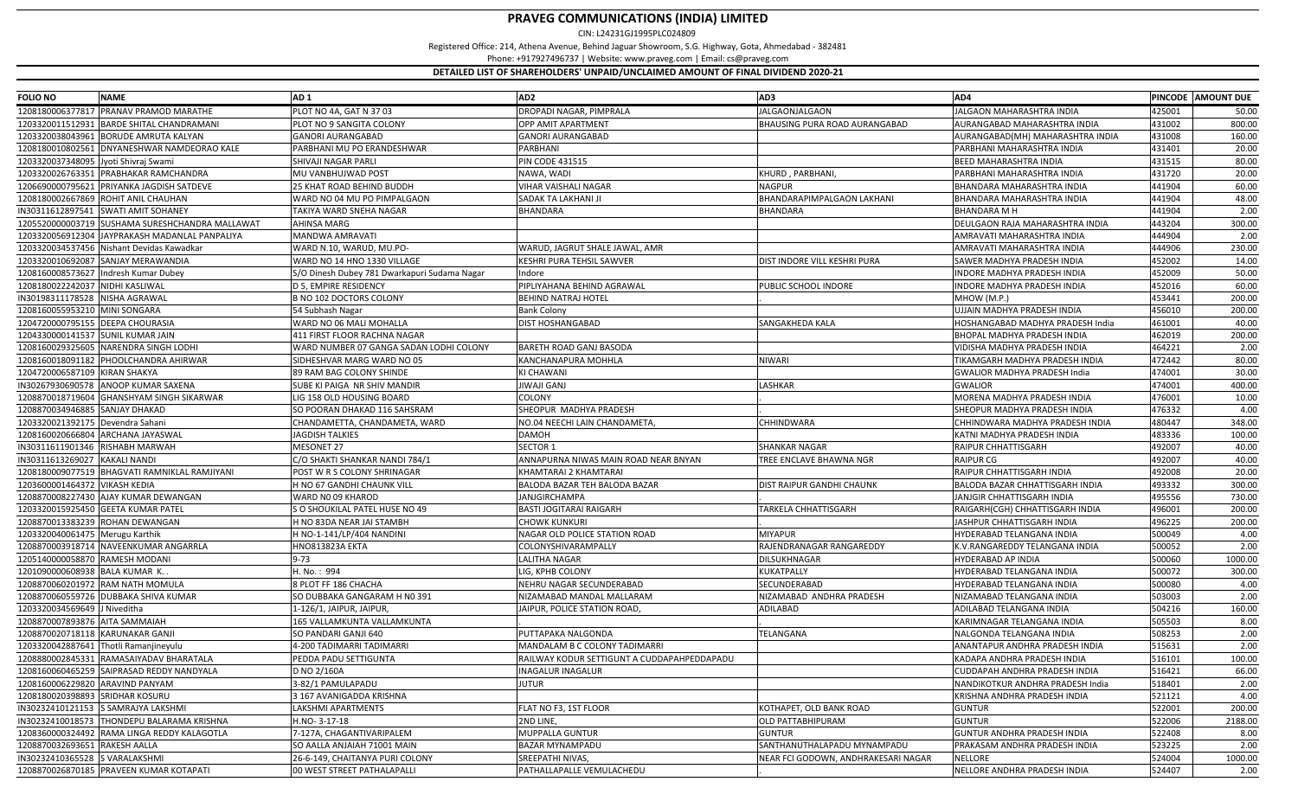| <b>FOLIO NO</b>                      | <b>NAME</b>                                     | AD <sub>1</sub>                            | AD <sub>2</sub>                             | AD3                                  | AD4                                   |        | PINCODE AMOUNT DUE |
|--------------------------------------|-------------------------------------------------|--------------------------------------------|---------------------------------------------|--------------------------------------|---------------------------------------|--------|--------------------|
| 1208180006377817                     | <b>PRANAV PRAMOD MARATHE</b>                    | PLOT NO 4A, GAT N 37 03                    | DROPADI NAGAR, PIMPRALA                     | IALGAONJALGAON                       | <b>JALGAON MAHARASHTRA INDIA</b>      | 425001 | 50.00              |
| 1203320011512931                     | <b>BARDE SHITAL CHANDRAMANI</b>                 | PLOT NO 9 SANGITA COLONY                   | OPP AMIT APARTMENT                          | <b>BHAUSING PURA ROAD AURANGABAD</b> | AURANGABAD MAHARASHTRA INDIA          | 431002 | 800.00             |
| 1203320038043961                     | <b>BORUDE AMRUTA KALYAN</b>                     | GANORI AURANGABAD                          | GANORI AURANGABAD                           |                                      | AURANGABAD(MH) MAHARASHTRA INDIA      | 431008 | 160.00             |
| 1208180010802561                     | DNYANESHWAR NAMDEORAO KALE                      | PARBHANI MU PO ERANDESHWAR                 | PARBHANI                                    |                                      | PARBHANI MAHARASHTRA INDIA            | 431401 | 20.00              |
| 1203320037348095 Jyoti Shivraj Swami |                                                 | SHIVAJI NAGAR PARLI                        | <b>PIN CODE 431515</b>                      |                                      | BEED MAHARASHTRA INDIA                | 431515 | 80.00              |
| 1203320026763351                     | PRABHAKAR RAMCHANDRA                            | MU VANBHUJWAD POST                         | NAWA, WADI                                  | KHURD, PARBHANI,                     | PARBHANI MAHARASHTRA INDIA            | 431720 | 20.00              |
|                                      | 1206690000795621 PRIYANKA JAGDISH SATDEVE       | 25 KHAT ROAD BEHIND BUDDH                  | VIHAR VAISHALI NAGAR                        | <b>NAGPUR</b>                        | BHANDARA MAHARASHTRA INDIA            | 441904 | 60.00              |
|                                      | 1208180002667869 ROHIT ANIL CHAUHAN             | WARD NO 04 MU PO PIMPALGAON                | SADAK TA LAKHANI JI                         | BHANDARAPIMPALGAON LAKHANI           | BHANDARA MAHARASHTRA INDIA            | 441904 | 48.00              |
|                                      | IN30311612897541 SWATI AMIT SOHANEY             | TAKIYA WARD SNEHA NAGAR                    | BHANDARA                                    | BHANDARA                             | BHANDARA M H                          | 441904 | 2.00               |
|                                      | 1205520000003719 SUSHAMA SURESHCHANDRA MALLAWAT | AHINSA MARG                                |                                             |                                      | DEULGAON RAJA MAHARASHTRA INDIA       | 443204 | 300.00             |
|                                      | 1203320056912304 JAYPRAKASH MADANLAL PANPALIYA  | MANDWA AMRAVATI                            |                                             |                                      | AMRAVATI MAHARASHTRA INDIA            | 444904 | 2.00               |
|                                      | 1203320034537456 Nishant Devidas Kawadkar       | WARD N.10, WARUD, MU.PO-                   | WARUD, JAGRUT SHALE JAWAL, AMR              |                                      | AMRAVATI MAHARASHTRA INDIA            | 444906 | 230.00             |
|                                      | 1203320010692087 SANJAY MERAWANDIA              | WARD NO 14 HNO 1330 VILLAGE                | KESHRI PURA TEHSIL SAWVER                   | DIST INDORE VILL KESHRI PURA         | SAWER MADHYA PRADESH INDIA            | 452002 | 14.00              |
|                                      | 1208160008573627 Indresh Kumar Dubey            | O Dinesh Dubey 781 Dwarkapuri Sudama Nagar | Indore                                      |                                      | INDORE MADHYA PRADESH INDIA           | 452009 | 50.00              |
| 1208180022242037 NIDHI KASLIWAL      |                                                 | D 5, EMPIRE RESIDENCY                      | PIPLIYAHANA BEHIND AGRAWAL                  | PUBLIC SCHOOL INDORE                 | INDORE MADHYA PRADESH INDIA           | 452016 | 60.00              |
| IN30198311178528 NISHA AGRAWAL       |                                                 | B NO 102 DOCTORS COLONY                    | <b>BEHIND NATRAJ HOTEL</b>                  |                                      | MHOW (M.P.)                           | 453441 | 200.00             |
| 1208160055953210 MINI SONGARA        |                                                 | 54 Subhash Nagar                           | <b>Bank Colony</b>                          |                                      | UJJAIN MADHYA PRADESH INDIA           | 456010 | 200.00             |
| 1204720000795155 DEEPA CHOURASIA     |                                                 | WARD NO 06 MALI MOHALLA                    | <b>DIST HOSHANGABAD</b>                     | SANGAKHEDA KALA                      | HOSHANGABAD MADHYA PRADESH India      | 461001 | 40.00              |
| 1204330000141537 SUNIL KUMAR JAIN    |                                                 | 111 FIRST FLOOR RACHNA NAGAR               |                                             |                                      | BHOPAL MADHYA PRADESH INDIA           | 462019 | 200.00             |
|                                      | 1208160029325605 NARENDRA SINGH LODHI           | WARD NUMBER 07 GANGA SADAN LODHI COLONY    | BARETH ROAD GANJ BASODA                     |                                      | VIDISHA MADHYA PRADESH INDIA          | 464221 | 2.00               |
|                                      | 1208160018091182 PHOOLCHANDRA AHIRWAR           | SIDHESHVAR MARG WARD NO 05                 | KANCHANAPURA MOHHLA                         | <b>NIWARI</b>                        | <b>ΓΙΚΑΜGARH ΜΑDHYA PRADESH INDIA</b> | 472442 | 80.00              |
| 1204720006587109 KIRAN SHAKYA        |                                                 | 89 RAM BAG COLONY SHINDE                   | KI CHAWANI                                  |                                      | GWALIOR MADHYA PRADESH India          | 474001 | 30.00              |
|                                      | IN30267930690578 ANOOP KUMAR SAXENA             | SUBE KI PAIGA NR SHIV MANDIR               | JIWAJI GANJ                                 | LASHKAR                              | <b>GWALIOR</b>                        | 474001 | 400.00             |
|                                      | 1208870018719604 GHANSHYAM SINGH SIKARWAR       | IG 158 OLD HOUSING BOARD.                  | COLONY                                      |                                      | MORENA MADHYA PRADESH INDIA           | 176001 | 10.00              |
| 1208870034946885 SANJAY DHAKAD       |                                                 | SO POORAN DHAKAD 116 SAHSRAM               | SHEOPUR MADHYA PRADESH                      |                                      | SHEOPUR MADHYA PRADESH INDIA          | 476332 | 4.00               |
| 1203320021392175 Devendra Sahani     |                                                 | CHANDAMETTA, CHANDAMETA, WARD              | NO.04 NEECHI LAIN CHANDAMETA,               | CHHINDWARA                           | CHHINDWARA MADHYA PRADESH INDIA       | 480447 | 348.00             |
|                                      | 1208160020666804 ARCHANA JAYASWAL               | <b>JAGDISH TALKIES</b>                     | <b>DAMOH</b>                                |                                      | KATNI MADHYA PRADESH INDIA            | 483336 | 100.00             |
| IN30311611901346 RISHABH MARWAH      |                                                 | <b>MESONET 27</b>                          | SECTOR 1                                    | <b>SHANKAR NAGAR</b>                 | RAIPUR CHHATTISGARH                   | 492007 | 40.00              |
| IN30311613269027                     | <b>KAKALI NANDI</b>                             | :/O SHAKTI SHANKAR NANDI 784/1             | ANNAPURNA NIWAS MAIN ROAD NEAR BNYAN        | TREE ENCLAVE BHAWNA NGR              | RAIPUR CG                             | 492007 | 40.00              |
|                                      | 1208180009077519 BHAGVATI RAMNIKLAL RAMJIYANI   | POST W R S COLONY SHRINAGAR                | KHAMTARAI 2 KHAMTARAI                       |                                      | RAIPUR CHHATTISGARH INDIA             | 492008 | 20.00              |
| 1203600001464372 VIKASH KEDIA        |                                                 | H NO 67 GANDHI CHAUNK VILL                 | BALODA BAZAR TEH BALODA BAZAR               | DIST RAIPUR GANDHI CHAUNK            | BALODA BAZAR CHHATTISGARH INDIA       | 493332 | 300.00             |
|                                      | 1208870008227430 AJAY KUMAR DEWANGAN            | WARD NO 09 KHAROD                          | <b>JANJGIRCHAMPA</b>                        |                                      | IANJGIR CHHATTISGARH INDIA            | 495556 | 730.00             |
|                                      | 1203320015925450 GEETA KUMAR PATEL              | GO SHOUKILAL PATEL HUSE NO 49              | <b>BASTI JOGITARAI RAIGARH</b>              | TARKELA CHHATTISGARH                 | RAIGARH(CGH) CHHATTISGARH INDIA       | 496001 | 200.00             |
|                                      | 1208870013383239 ROHAN DEWANGAN                 | H NO 83DA NEAR JAI STAMBH                  | CHOWK KUNKURI                               |                                      | IASHPUR CHHATTISGARH INDIA            | 496225 | 200.00             |
| 1203320040061475 Merugu Karthik      |                                                 | 1 NO-1-141/LP/404 NANDINI                  | NAGAR OLD POLICE STATION ROAD               | <b>MIYAPUR</b>                       | HYDERABAD TELANGANA INDIA             | 500049 | 4.00               |
|                                      | 1208870003918714 NAVEENKUMAR ANGARRLA           | INO813823A EKTA                            | COLONYSHIVARAMPALLY                         | RAJENDRANAGAR RANGAREDDY             | K.V.RANGAREDDY TELANGANA INDIA        | 500052 | 2.00               |
| 1205140000058870 RAMESH MODAN        |                                                 | 9-73                                       | LALITHA NAGAR                               | DILSUKHNAGAR                         | HYDERABAD AP INDIA                    | 500060 | 1000.00            |
| 1201090000608938 BALA KUMAR K.       |                                                 | 1. No.: 994                                | LIG, KPHB COLONY                            | <b>KUKATPALLY</b>                    | HYDERABAD TELANGANA INDIA             | 500072 | 300.00             |
|                                      | 1208870060201972 RAM NATH MOMULA                | 8 PLOT FF 186 CHACHA                       | NEHRU NAGAR SECUNDERABAD                    | SECUNDERABAD                         | HYDERABAD TELANGANA INDIA             | 500080 | 4.00               |
|                                      | 1208870060559726 DUBBAKA SHIVA KUMAR            | SO DUBBAKA GANGARAM H N0 391               | NIZAMABAD MANDAL MALLARAM                   | NIZAMABAD ANDHRA PRADESH             | NIZAMABAD TELANGANA INDIA             | 503003 | 2.00               |
| 1203320034569649 J Niveditha         |                                                 | 1-126/1, JAIPUR, JAIPUR                    | <b>JAIPUR, POLICE STATION ROAD</b>          | ADILABAD                             | ADILABAD TELANGANA INDIA              | 504216 | 160.00             |
| 1208870007893876 AITA SAMMAIAH       |                                                 | 165 VALLAMKUNTA VALLAMKUNTA                |                                             |                                      | KARIMNAGAR TELANGANA INDIA            | 505503 | 8.00               |
| 1208870020718118 KARUNAKAR GANJI     |                                                 | SO PANDARI GANJI 640                       | PUTTAPAKA NALGONDA                          | TELANGANA                            | NALGONDA TELANGANA INDIA              | 508253 | 2.00               |
|                                      | 1203320042887641 Thotli Ramanjineyulu           | I-200 TADIMARRI TADIMARRI                  | MANDALAM B C COLONY TADIMARRI               |                                      | ANANTAPUR ANDHRA PRADESH INDIA        | 515631 | 2.00               |
|                                      | 1208880002845331 RAMASAIYADAV BHARATALA         | PEDDA PADU SETTIGUNTA                      | RAILWAY KODUR SETTIGUNT A CUDDAPAHPEDDAPADU |                                      | KADAPA ANDHRA PRADESH INDIA           | 516101 | 100.00             |
|                                      | 1208160060465259 SAIPRASAD REDDY NANDYALA       | D NO 2/160A                                | <b>INAGALUR INAGALUR</b>                    |                                      | CUDDAPAH ANDHRA PRADESH INDIA         | 516421 | 66.00              |
| 1208160006229820 ARAVIND PANYAM      |                                                 | 3-82/1 PAMULAPADU                          | JUTUR                                       |                                      | NANDIKOTKUR ANDHRA PRADESH India      | 518401 | 2.00               |
| 1208180020398893 SRIDHAR KOSURU      |                                                 | 3 167 AVANIGADDA KRISHNA                   |                                             |                                      | KRISHNA ANDHRA PRADESH INDIA          | 521121 | 4.00               |
|                                      | IN30232410121153 SAMRAJYA LAKSHMI               | LAKSHMI APARTMENTS                         | FLAT NO F3, 1ST FLOOR                       | KOTHAPET, OLD BANK ROAD              | GUNTUR                                | 522001 | 200.00             |
|                                      | IN30232410018573 THONDEPU BALARAMA KRISHNA      | H.NO-3-17-18                               | 2ND LINE,                                   | <b>OLD PATTABHIPURAM</b>             | <b>GUNTUR</b>                         | 522006 | 2188.00            |
|                                      | 1208360000324492 RAMA LINGA REDDY KALAGOTLA     | -127A, CHAGANTIVARIPALEM                   | MUPPALLA GUNTUR                             | GUNTUR                               | GUNTUR ANDHRA PRADESH INDIA           | 522408 | 8.00               |
| 1208870032693651 RAKESH AALLA        |                                                 | SO AALLA ANJAIAH 71001 MAIN                | BAZAR MYNAMPADU                             | SANTHANUTHALAPADU MYNAMPADU          | PRAKASAM ANDHRA PRADESH INDIA         | 523225 | 2.00               |
| IN30232410365528 S VARALAKSHMI       |                                                 | 26-6-149, CHAITANYA PURI COLONY            | SREEPATHI NIVAS,                            | NEAR FCI GODOWN, ANDHRAKESARI NAGAR  | <b>NELLORE</b>                        | 524004 | 1000.00            |
|                                      | 1208870026870185 PRAVEEN KUMAR KOTAPATI         | 00 WEST STREET PATHALAPALLI                | PATHALLAPALLE VEMULACHEDU                   |                                      | NELLORE ANDHRA PRADESH INDIA          | 524407 | 2.00               |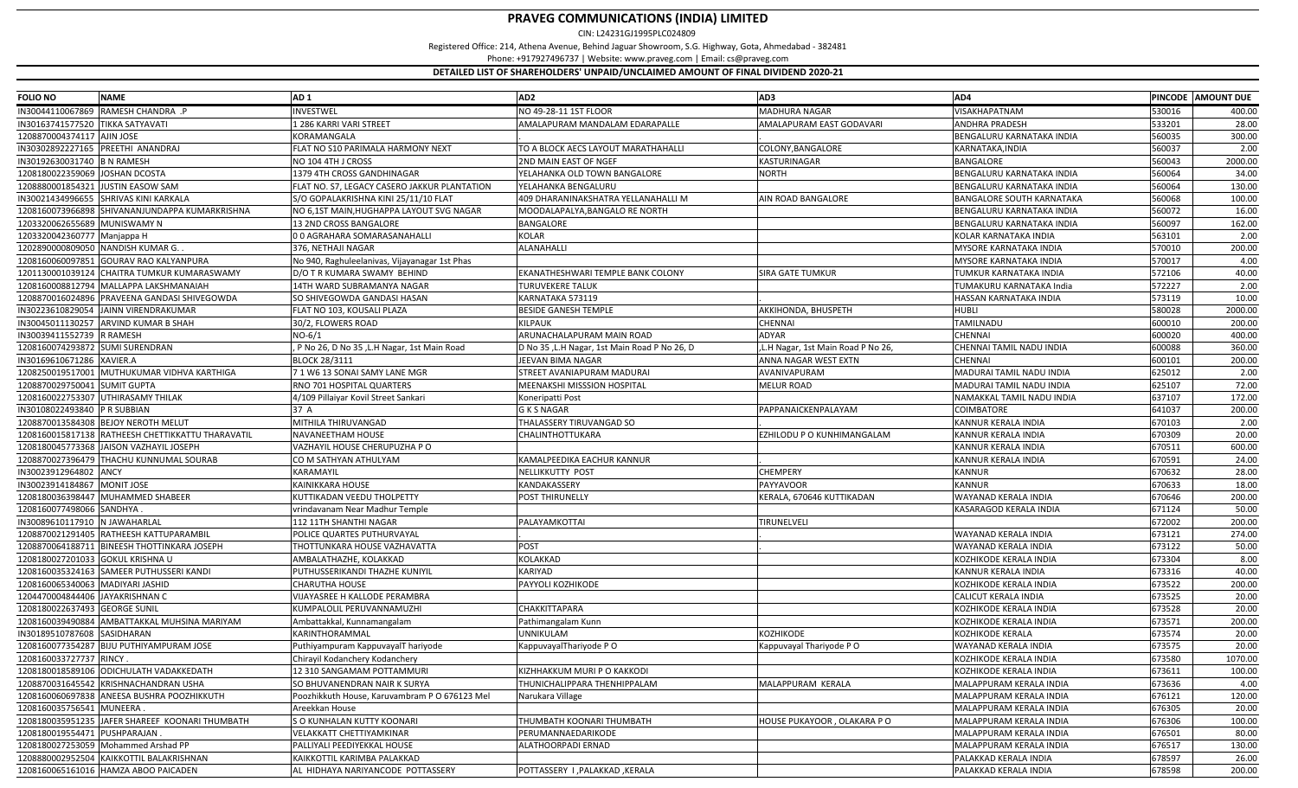| <b>FOLIO NO</b>                    | <b>NAME</b>                                       | AD <sub>1</sub>                               | AD <sub>2</sub>                              | AD3                               | AD4                              |        | PINCODE AMOUNT DUE |
|------------------------------------|---------------------------------------------------|-----------------------------------------------|----------------------------------------------|-----------------------------------|----------------------------------|--------|--------------------|
|                                    | IN30044110067869 RAMESH CHANDRA .P                | INVESTWEL                                     | NO 49-28-11 1ST FLOOR                        | <b>MADHURA NAGAR</b>              | VISAKHAPATNAM                    | 530016 | 400.00             |
| IN30163741577520 TIKKA SATYAVATI   |                                                   | 1 286 KARRI VARI STREET                       | AMALAPURAM MANDALAM EDARAPALLE               | AMALAPURAM EAST GODAVARI          | <b>ANDHRA PRADESH</b>            | 533201 | 28.00              |
| 1208870004374117 AJIN JOSE         |                                                   | <b>CORAMANGALA</b>                            |                                              |                                   | BENGALURU KARNATAKA INDIA        | 560035 | 300.00             |
| IN30302892227165 PREETHI ANANDRAJ  |                                                   | LAT NO S10 PARIMALA HARMONY NEXT              | TO A BLOCK AECS LAYOUT MARATHAHALL           | COLONY, BANGALORE                 | KARNATAKA, INDIA                 | 560037 | 2.00               |
| IN30192630031740 B N RAMESH        |                                                   | NO 104 4TH J CROSS                            | 2ND MAIN EAST OF NGEF                        | <b>KASTURINAGAR</b>               | <b>BANGALORE</b>                 | 560043 | 2000.00            |
| 1208180022359069 JOSHAN DCOSTA     |                                                   | 1379 4TH CROSS GANDHINAGAR                    | YELAHANKA OLD TOWN BANGALORE                 | <b>NORTH</b>                      | BENGALURU KARNATAKA INDIA        | 560064 | 34.00              |
| 1208880001854321 JJUSTIN EASOW SAM |                                                   | LAT NO. S7, LEGACY CASERO JAKKUR PLANTATION   | YELAHANKA BENGALURU                          |                                   | BENGALURU KARNATAKA INDIA        | 560064 | 130.00             |
|                                    | IN30021434996655 SHRIVAS KINI KARKALA             | 6/O GOPALAKRISHNA KINI 25/11/10 FLAT          | 409 DHARANINAKSHATRA YELLANAHALLI M          | AIN ROAD BANGALORE                | <b>BANGALORE SOUTH KARNATAKA</b> | 560068 | 100.00             |
|                                    | 1208160073966898 SHIVANANJUNDAPPA KUMARKRISHNA    | NO 6,1ST MAIN,HUGHAPPA LAYOUT SVG NAGAR       | MOODALAPALYA, BANGALO RE NORTH               |                                   | BENGALURU KARNATAKA INDIA        | 560072 | 16.00              |
| 1203320062655689 MUNISWAMY N       |                                                   | 13 2ND CROSS BANGALORE                        | <b>BANGALORE</b>                             |                                   | BENGALURU KARNATAKA INDIA        | 560097 | 162.00             |
| 1203320042360777 Manjappa H        |                                                   | 00 AGRAHARA SOMARASANAHALLI                   | KOLAR                                        |                                   | KOLAR KARNATAKA INDIA            | 563101 | 2.00               |
| 1202890000809050 NANDISH KUMAR G.  |                                                   | 376, NETHAJI NAGAR                            | ALANAHALLI                                   |                                   | <b>MYSORE KARNATAKA INDIA</b>    | 570010 | 200.00             |
|                                    | 1208160060097851 GOURAV RAO KALYANPURA            | No 940, Raghuleelanivas, Vijayanagar 1st Phas |                                              |                                   | MYSORE KARNATAKA INDIA           | 570017 | 4.00               |
|                                    | 1201130001039124 CHAITRA TUMKUR KUMARASWAMY       | )/O T R KUMARA SWAMY BEHIND                   | EKANATHESHWARI TEMPLE BANK COLONY            | <b>SIRA GATE TUMKUR</b>           | TUMKUR KARNATAKA INDIA           | 572106 | 40.00              |
|                                    | 1208160008812794 MALLAPPA LAKSHMANAIAH            | 14TH WARD SUBRAMANYA NAGAR                    | TURUVEKERE TALUK                             |                                   | TUMAKURU KARNATAKA India         | 572227 | 2.00               |
|                                    | 1208870016024896 PRAVEENA GANDASI SHIVEGOWDA      | SO SHIVEGOWDA GANDASI HASAN                   | KARNATAKA 573119                             |                                   | HASSAN KARNATAKA INDIA           | 573119 | 10.00              |
|                                    | IN30223610829054 JAINN VIRENDRAKUMAR              | FLAT NO 103, KOUSALI PLAZA                    | <b>BESIDE GANESH TEMPLE</b>                  | AKKIHONDA, BHUSPETH               | HUBLI                            | 580028 | 2000.00            |
|                                    | IN30045011130257 ARVIND KUMAR B SHAH              | 30/2, FLOWERS ROAD                            | KILPAUK                                      | CHENNAI                           | TAMILNADU                        | 600010 | 200.00             |
| IN30039411552739 R RAMESH          |                                                   | VO-6/1                                        | ARUNACHALAPURAM MAIN ROAD                    | ADYAR                             | <b>CHENNAI</b>                   | 600020 | 400.00             |
| 1208160074293872 SUMI SURENDRAN    |                                                   | P No 26, D No 35, L.H Nagar, 1st Main Road    | D No 35, L.H Nagar, 1st Main Road P No 26, D | L.H Nagar, 1st Main Road P No 26, | CHENNAI TAMIL NADU INDIA         | 600088 | 360.00             |
| IN30169610671286 XAVIER.A          |                                                   | <b>BLOCK 28/3111</b>                          | JEEVAN BIMA NAGAR                            | ANNA NAGAR WEST EXTN              | <b>CHENNAI</b>                   | 600101 | 200.00             |
|                                    | 1208250019517001 MUTHUKUMAR VIDHVA KARTHIGA       | 1 W6 13 SONAI SAMY LANE MGR                   | STREET AVANIAPURAM MADURAI                   | AVANIVAPURAM                      | MADURAI TAMIL NADU INDIA         | 625012 | 2.00               |
| 1208870029750041 SUMIT GUPTA       |                                                   | RNO 701 HOSPITAL QUARTERS                     | MEENAKSHI MISSSION HOSPITAL                  | <b>MELUR ROAD</b>                 | MADURAI TAMIL NADU INDIA         | 625107 | 72.00              |
| 1208160022753307 UTHIRASAMY THILAK |                                                   | 4/109 Pillaiyar Kovil Street Sankari          | Koneripatti Post                             |                                   | NAMAKKAL TAMIL NADU INDIA        | 637107 | 172.00             |
| IN30108022493840 PR SUBBIAN        |                                                   | 37 A                                          | <b>GKSNAGAR</b>                              | PAPPANAICKENPALAYAM               | <b>COIMBATORE</b>                | 641037 | 200.00             |
|                                    | 1208870013584308 BEJOY NEROTH MELUT               | MITHILA THIRUVANGAD                           | THALASSERY TIRUVANGAD SO                     |                                   | KANNUR KERALA INDIA              | 670103 | 2.00               |
|                                    | 1208160015817138 RATHEESH CHETTIKKATTU THARAVATIL | <b>NAVANEETHAM HOUSE</b>                      | CHALINTHOTTUKARA                             | EZHILODU P O KUNHIMANGALAM        | KANNUR KERALA INDIA              | 670309 | 20.00              |
|                                    | 1208180045773368 JAISON VAZHAYIL JOSEPH           | VAZHAYIL HOUSE CHERUPUZHA P O                 |                                              |                                   | <b>KANNUR KERALA INDIA</b>       | 670511 | 600.00             |
|                                    | 1208870027396479 THACHU KUNNUMAL SOURAB           | CO M SATHYAN ATHULYAM                         | KAMALPEEDIKA EACHUR KANNUR                   |                                   | KANNUR KERALA INDIA              | 670591 | 24.00              |
|                                    |                                                   | KARAMAYIL                                     |                                              | <b>CHEMPERY</b>                   | <b>KANNUR</b>                    | 670632 | 28.00              |
| IN30023912964802 ANCY              |                                                   | KAINIKKARA HOUSE                              | NELLIKKUTTY POST                             |                                   | <b>KANNUR</b>                    |        |                    |
| IN30023914184867 MONIT JOSE        |                                                   |                                               | KANDAKASSERY                                 | <b>PAYYAVOOR</b>                  |                                  | 670633 | 18.00              |
|                                    | 1208180036398447 MUHAMMED SHABEER                 | (UTTIKADAN VEEDU THOLPETTY                    | POST THIRUNELLY                              | KERALA, 670646 KUTTIKADAN         | WAYANAD KERALA INDIA             | 670646 | 200.00             |
| 1208160077498066 SANDHYA           |                                                   | rrindavanam Near Madhur Temple                |                                              |                                   | KASARAGOD KERALA INDIA           | 671124 | 50.00              |
| IN30089610117910 N JAWAHARLAL      |                                                   | 112 11TH SHANTHI NAGAR                        | PALAYAMKOTTAI                                | TIRUNELVELI                       |                                  | 672002 | 200.00             |
|                                    | 1208870021291405 RATHEESH KATTUPARAMBIL           | POLICE QUARTES PUTHURVAYAI                    |                                              |                                   | WAYANAD KERALA INDIA             | 673121 | 274.00             |
|                                    | 1208870064188711 BINEESH THOTTINKARA JOSEPH       | THOTTUNKARA HOUSE VAZHAVATTA                  | POST                                         |                                   | WAYANAD KERALA INDIA             | 673122 | 50.00              |
| 1208180027201033 GOKUL KRISHNA U   |                                                   | AMBALATHAZHE, KOLAKKAD                        | KOLAKKAD                                     |                                   | KOZHIKODE KERALA INDIA           | 673304 | 8.00               |
|                                    | 1208160035324163 SAMEER PUTHUSSERI KANDI          | PUTHUSSERIKANDI THAZHE KUNIYIL                | KARIYAD                                      |                                   | KANNUR KERALA INDIA              | 673316 | 40.00              |
| 1208160065340063 MADIYARI JASHID   |                                                   | CHARUTHA HOUSE                                | PAYYOLI KOZHIKODE                            |                                   | KOZHIKODE KERALA INDIA           | 673522 | 200.00             |
| 1204470004844406 JAYAKRISHNAN C    |                                                   | <b>IJAYASREE H KALLODE PERAMBRA</b>           |                                              |                                   | CALICUT KERALA INDIA             | 673525 | 20.00              |
| 1208180022637493 GEORGE SUNIL      |                                                   | KUMPALOLIL PERUVANNAMUZHI                     | CHAKKITTAPARA                                |                                   | KOZHIKODE KERALA INDIA           | 673528 | 20.00              |
|                                    | 1208160039490884 AMBATTAKKAL MUHSINA MARIYAM      | Ambattakkal, Kunnamangalam                    | Pathimangalam Kunn                           |                                   | KOZHIKODE KERALA INDIA           | 673571 | 200.00             |
| IN30189510787608 SASIDHARAN        |                                                   | KARINTHORAMMAL                                | JNNIKULAM                                    | <b>KOZHIKODE</b>                  | KOZHIKODE KERALA                 | 673574 | 20.00              |
|                                    | 1208160077354287 BIJU PUTHIYAMPURAM JOSE          | Puthiyampuram KappuvayalT hariyode            | KappuvayalThariyode PO                       | Kappuvayal Thariyode PO           | WAYANAD KERALA INDIA             | 673575 | 20.00              |
| 1208160033727737 RINCY.            |                                                   | Chirayil Kodanchery Kodanchery                |                                              |                                   | KOZHIKODE KERALA INDIA           | 673580 | 1070.00            |
|                                    | 1208180018589106 ODICHULATH VADAKKEDATH           | 12 310 SANGAMAM POTTAMMURI                    | KIZHHAKKUM MURI P O KAKKODI                  |                                   | KOZHIKODE KERALA INDIA           | 673611 | 100.00             |
|                                    | 1208870031645542 KRISHNACHANDRAN USHA             | SO BHUVANENDRAN NAIR K SURYA                  | THUNICHALIPPARA THENHIPPALAM                 | MALAPPURAM KERALA                 | MALAPPURAM KERALA INDIA          | 673636 | 4.00               |
|                                    | 1208160060697838 ANEESA BUSHRA POOZHIKKUTH        | Poozhikkuth House, Karuvambram P O 676123 Mel | Narukara Village                             |                                   | MALAPPURAM KERALA INDIA          | 676121 | 120.00             |
| 1208160035756541 MUNEERA.          |                                                   | Areekkan House                                |                                              |                                   | MALAPPURAM KERALA INDIA          | 676305 | 20.00              |
|                                    | 1208180035951235 JAFER SHAREEF KOONARI THUMBATH   | S O KUNHALAN KUTTY KOONARI                    | THUMBATH KOONARI THUMBATH                    | HOUSE PUKAYOOR, OLAKARA PO        | MALAPPURAM KERALA INDIA          | 676306 | 100.00             |
| 1208180019554471 PUSHPARAJAN.      |                                                   | VELAKKATT CHETTIYAMKINAR                      | PERUMANNAEDARIKODE                           |                                   | MALAPPURAM KERALA INDIA          | 676501 | 80.00              |
|                                    | 1208180027253059 Mohammed Arshad PP               | PALLIYALI PEEDIYEKKAL HOUSE                   | ALATHOORPADI ERNAD                           |                                   | MALAPPURAM KERALA INDIA          | 676517 | 130.00             |
|                                    | 1208880002952504 KAIKKOTTIL BALAKRISHNAN          | KAIKKOTTIL KARIMBA PALAKKAD                   |                                              |                                   | PALAKKAD KERALA INDIA            | 678597 | 26.00              |
|                                    | 1208160065161016 HAMZA ABOO PAICADEN              | AL HIDHAYA NARIYANCODE POTTASSERY             | POTTASSERY I, PALAKKAD, KERALA               |                                   | PALAKKAD KERALA INDIA            | 678598 | 200.00             |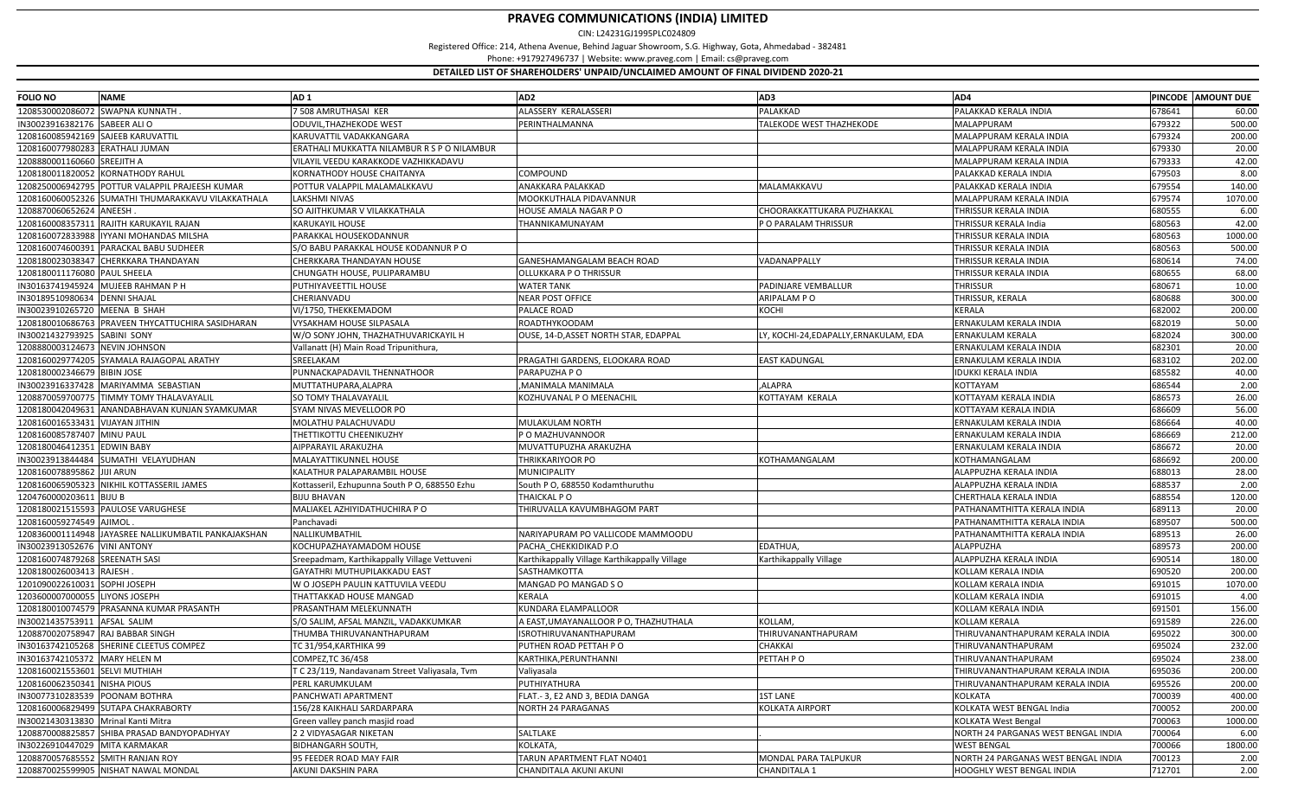| <b>FOLIO NO</b>                     | <b>NAME</b>                                          | AD <sub>1</sub>                               | AD <sub>2</sub>                               | AD3                                    | AD4                                 | PINCODE AMOUNT DUE |         |
|-------------------------------------|------------------------------------------------------|-----------------------------------------------|-----------------------------------------------|----------------------------------------|-------------------------------------|--------------------|---------|
| 1208530002086072 SWAPNA KUNNATH     |                                                      | 7 508 AMRUTHASAI KER                          | ALASSERY KERALASSERI                          | PALAKKAD                               | PALAKKAD KERALA INDIA               | 678641             | 60.00   |
| IN30023916382176 SABEER ALIO        |                                                      | ODUVIL, THAZHEKODE WEST                       | PERINTHALMANNA                                | TALEKODE WEST THAZHEKODE               | MALAPPURAM                          | 679322             | 500.00  |
| 1208160085942169 SAJEEB KARUVATTIL  |                                                      | KARUVATTIL VADAKKANGARA                       |                                               |                                        | MALAPPURAM KERALA INDIA             | 679324             | 200.00  |
| 1208160077980283 ERATHALI JUMAN     |                                                      | ERATHALI MUKKATTA NILAMBUR R S P O NILAMBUR   |                                               |                                        | MALAPPURAM KERALA INDIA             | 679330             | 20.00   |
| 1208880001160660 SREEJITH A         |                                                      | VILAYIL VEEDU KARAKKODE VAZHIKKADAVU          |                                               |                                        | MALAPPURAM KERALA INDIA             | 679333             | 42.00   |
|                                     | 1208180011820052 KORNATHODY RAHUL                    | KORNATHODY HOUSE CHAITANYA                    | COMPOUND                                      |                                        | PALAKKAD KERALA INDIA               | 679503             | 8.00    |
|                                     | 1208250006942795 POTTUR VALAPPIL PRAJEESH KUMAR      | POTTUR VALAPPIL MALAMALKKAVU                  | ANAKKARA PALAKKAD                             | MALAMAKKAVU                            | PALAKKAD KERALA INDIA               | 679554             | 140.00  |
|                                     | 1208160060052326 SUMATHI THUMARAKKAVU VILAKKATHALA   | LAKSHMI NIVAS                                 | MOOKKUTHALA PIDAVANNUR                        |                                        | MALAPPURAM KERALA INDIA             | 679574             | 1070.00 |
| 1208870060652624 ANEESH.            |                                                      | SO AJITHKUMAR V VILAKKATHALA                  | HOUSE AMALA NAGAR PO                          | CHOORAKKATTUKARA PUZHAKKAL             | THRISSUR KERALA INDIA               | 680555             | 6.00    |
|                                     | 1208160008357311 RAJITH KARUKAYIL RAJAN              | <b>KARUKAYIL HOUSE</b>                        | THANNIKAMUNAYAM                               | P O PARALAM THRISSUR                   | THRISSUR KERALA India               | 680563             | 42.00   |
|                                     | 1208160072833988   IYYANI MOHANDAS MILSHA            | PARAKKAL HOUSEKODANNUR                        |                                               |                                        | THRISSUR KERALA INDIA               | 680563             | 1000.00 |
|                                     | 1208160074600391 PARACKAL BABU SUDHEER               | S/O BABU PARAKKAL HOUSE KODANNUR P O          |                                               |                                        | THRISSUR KERALA INDIA               | 680563             | 500.00  |
|                                     | 1208180023038347 CHERKKARA THANDAYAN                 | CHERKKARA THANDAYAN HOUSE                     | GANESHAMANGALAM BEACH ROAD                    | VADANAPPALLY                           | THRISSUR KERALA INDIA               | 680614             | 74.00   |
| 1208180011176080 PAUL SHEELA        |                                                      | CHUNGATH HOUSE, PULIPARAMBU                   | OLLUKKARA P O THRISSUR                        |                                        | THRISSUR KERALA INDIA               | 680655             | 68.00   |
|                                     | IN30163741945924 MUJEEB RAHMAN P H                   | PUTHIYAVEETTIL HOUSE                          | <b>WATER TANK</b>                             | PADINJARE VEMBALLUR                    | THRISSUR                            | 680671             | 10.00   |
| IN30189510980634 DENNI SHAJAL       |                                                      | CHERIANVADU                                   | <b>NEAR POST OFFICE</b>                       | ARIPALAM PO                            | THRISSUR, KERALA                    | 680688             | 300.00  |
| IN30023910265720 MEENA B SHAH       |                                                      | VI/1750, THEKKEMADOM                          | PALACE ROAD                                   | KOCHI                                  | <b>KERALA</b>                       | 682002             | 200.00  |
|                                     | 1208180010686763 PRAVEEN THYCATTUCHIRA SASIDHARAN    | VYSAKHAM HOUSE SILPASALA                      | <b>ROADTHYKOODAM</b>                          |                                        | ERNAKULAM KERALA INDIA              | 682019             | 50.00   |
| IN30021432793925 SABINI SONY        |                                                      | W/O SONY JOHN, THAZHATHUVARICKAYIL H          | OUSE, 14-D, ASSET NORTH STAR, EDAPPAL         | LY, KOCHI-24, EDAPALLY, ERNAKULAM, EDA | ERNAKULAM KERALA                    | 682024             | 300.00  |
| 1208880003124673 NEVIN JOHNSON      |                                                      | Vallanatt (H) Main Road Tripunithura          |                                               |                                        | ERNAKULAM KERALA INDIA              | 682301             | 20.00   |
|                                     | 1208160029774205 SYAMALA RAJAGOPAL ARATHY            | SREELAKAM                                     | PRAGATHI GARDENS, ELOOKARA ROAD               | <b>EAST KADUNGAL</b>                   | ERNAKULAM KERALA INDIA              | 683102             | 202.00  |
| 1208180002346679 BIBIN JOSE         |                                                      | PUNNACKAPADAVIL THENNATHOOR                   | PARAPUZHA P O                                 |                                        | <b>IDUKKI KERALA INDIA</b>          | 685582             | 40.00   |
|                                     | IN30023916337428 MARIYAMMA SEBASTIAN                 | MUTTATHUPARA, ALAPRA                          | ,MANIMALA MANIMALA                            | ,ALAPRA                                | KOTTAYAM                            | 686544             | 2.00    |
|                                     | 1208870059700775 TIMMY TOMY THALAVAYALIL             | SO TOMY THALAVAYALIL                          | KOZHUVANAL P O MEENACHIL                      | KOTTAYAM KERALA                        | KOTTAYAM KERALA INDIA               | 686573             | 26.00   |
|                                     | 1208180042049631 ANANDABHAVAN KUNJAN SYAMKUMAR       | SYAM NIVAS MEVELLOOR PO                       |                                               |                                        | KOTTAYAM KERALA INDIA               | 686609             | 56.00   |
| 1208160016533431 VIJAYAN JITHIN     |                                                      | MOLATHU PALACHUVADU                           | MULAKULAM NORTH                               |                                        | ERNAKULAM KERALA INDIA              | 686664             | 40.00   |
| 1208160085787407 MINU PAUL          |                                                      | THETTIKOTTU CHEENIKUZHY                       | P O MAZHUVANNOOR                              |                                        | ERNAKULAM KERALA INDIA              | 686669             | 212.00  |
| 1208180046412351 EDWIN BABY         |                                                      | AIPPARAYIL ARAKUZHA                           | MUVATTUPUZHA ARAKUZHA                         |                                        | ERNAKULAM KERALA INDIA              | 686672             | 20.00   |
|                                     | IN30023913844484 SUMATHI VELAYUDHAN                  | MALAYATTIKUNNEL HOUSE                         | THRIKKARIYOOR PO                              | KOTHAMANGALAM                          | KOTHAMANGALAM                       | 686692             | 200.00  |
| 1208160078895862 JJJJI ARUN         |                                                      | KALATHUR PALAPARAMBIL HOUSE                   | MUNICIPALITY                                  |                                        | ALAPPUZHA KERALA INDIA              | 688013             | 28.00   |
|                                     | 1208160065905323 NIKHIL KOTTASSERIL JAMES            | Kottasseril, Ezhupunna South P O, 688550 Ezhu | South P O, 688550 Kodamthuruthu               |                                        | ALAPPUZHA KERALA INDIA              | 688537             | 2.00    |
| 1204760000203611 BIJU B             |                                                      | <b>BIJU BHAVAN</b>                            | THAICKAL P O                                  |                                        | CHERTHALA KERALA INDIA              | 688554             | 120.00  |
|                                     | 1208180021515593 PAULOSE VARUGHESE                   | MALIAKEL AZHIYIDATHUCHIRA P O                 | THIRUVALLA KAVUMBHAGOM PART                   |                                        | PATHANAMTHITTA KERALA INDIA         | 689113             | 20.00   |
| 1208160059274549 AJIMOL             |                                                      | Panchavadi                                    |                                               |                                        | PATHANAMTHITTA KERALA INDIA         | 689507             | 500.00  |
|                                     | 1208360001114948 JAYASREE NALLIKUMBATIL PANKAJAKSHAN | NALLIKUMBATHIL                                | NARIYAPURAM PO VALLICODE MAMMOODU             |                                        | PATHANAMTHITTA KERALA INDIA         | 689513             | 26.00   |
| IN30023913052676 VINI ANTONY        |                                                      | KOCHUPAZHAYAMADOM HOUSE                       | PACHA_CHEKKIDIKAD P.O                         | EDATHUA,                               | ALAPPUZHA                           | 689573             | 200.00  |
| 1208160074879268 SREENATH SASI      |                                                      | Sreepadmam, Karthikappally Village Vettuveni  | Karthikappally Village Karthikappally Village | Karthikappally Village                 | ALAPPUZHA KERALA INDIA              | 690514             | 180.00  |
| 1208180026003413 RAJESH             |                                                      | GAYATHRI MUTHUPILAKKADU EAST                  | SASTHAMKOTTA                                  |                                        | KOLLAM KERALA INDIA                 | 690520             | 200.00  |
| 1201090022610031                    | SOPHI JOSEPH                                         | W O JOSEPH PAULIN KATTUVILA VEEDU             | MANGAD PO MANGAD SO                           |                                        | KOLLAM KERALA INDIA                 | 691015             | 1070.00 |
| 1203600007000055 LIYONS JOSEPH      |                                                      | THATTAKKAD HOUSE MANGAD                       | KERALA                                        |                                        | KOLLAM KERALA INDIA                 | 691015             | 4.00    |
|                                     | 1208180010074579 PRASANNA KUMAR PRASANTH             | PRASANTHAM MELEKUNNATH                        | KUNDARA ELAMPALLOOR                           |                                        | KOLLAM KERALA INDIA                 | 691501             | 156.00  |
| IN30021435753911 AFSAL SALIM        |                                                      | S/O SALIM, AFSAL MANZIL, VADAKKUMKAR          | A EAST,UMAYANALLOOR P O, THAZHUTHALA          | KOLLAM,                                | <b>KOLLAM KERALA</b>                | 691589             | 226.00  |
| 1208870020758947 RAJ BABBAR SINGH   |                                                      | THUMBA THIRUVANANTHAPURAM                     | <b>ISROTHIRUVANANTHAPURAM</b>                 | THIRUVANANTHAPURAM                     | THIRUVANANTHAPURAM KERALA INDIA     | 695022             | 300.00  |
|                                     | IN30163742105268 SHERINE CLEETUS COMPEZ              | TC 31/954, KARTHIKA 99                        | PUTHEN ROAD PETTAH PO                         | CHAKKAI                                | THIRUVANANTHAPURAM                  | 695024             | 232.00  |
| IN30163742105372 MARY HELEN M       |                                                      | COMPEZ, TC 36/458                             | KARTHIKA, PERUNTHANNI                         | PETTAH PO                              | THIRUVANANTHAPURAM                  | 695024             | 238.00  |
| 1208160021553601 SELVI MUTHIAH      |                                                      | T C 23/119, Nandavanam Street Valiyasala, Tvm | Valiyasala                                    |                                        | THIRUVANANTHAPURAM KERALA INDIA     | 695036             | 200.00  |
| 1208160062350341 NISHA PIOUS        |                                                      | PERL KARUMKULAM                               | PUTHIYATHURA                                  |                                        | THIRUVANANTHAPURAM KERALA INDIA     | 695526             | 200.00  |
| IN30077310283539 POONAM BOTHRA      |                                                      | PANCHWATI APARTMENT                           | FLAT. - 3, E2 AND 3, BEDIA DANGA              | <b>1ST LANE</b>                        | <b>KOLKATA</b>                      | 700039             | 400.00  |
|                                     | 1208160006829499 SUTAPA CHAKRABORTY                  | 156/28 KAIKHALI SARDARPARA                    | <b>NORTH 24 PARAGANAS</b>                     | <b>KOLKATA AIRPORT</b>                 | KOLKATA WEST BENGAL India           | 700052             | 200.00  |
| IN30021430313830 Mrinal Kanti Mitra |                                                      | Green valley panch masjid road                |                                               |                                        | <b>KOLKATA West Bengal</b>          | 700063             | 1000.00 |
|                                     | 1208870008825857 SHIBA PRASAD BANDYOPADHYAY          | 2 2 VIDYASAGAR NIKETAN                        | SALTLAKE                                      |                                        | NORTH 24 PARGANAS WEST BENGAL INDIA | 700064             | 6.00    |
| IN30226910447029 MITA KARMAKAR      |                                                      | <b>BIDHANGARH SOUTH,</b>                      | KOLKATA,                                      |                                        | <b>WEST BENGAL</b>                  | 700066             | 1800.00 |
| 1208870057685552 SMITH RANJAN ROY   |                                                      | 95 FEEDER ROAD MAY FAIR                       | TARUN APARTMENT FLAT NO401                    | MONDAL PARA TALPUKUR                   | NORTH 24 PARGANAS WEST BENGAL INDIA | 700123             | 2.00    |
|                                     | 1208870025599905 NISHAT NAWAL MONDAL                 | AKUNI DAKSHIN PARA                            | CHANDITALA AKUNI AKUNI                        | <b>CHANDITALA 1</b>                    | HOOGHLY WEST BENGAL INDIA           | 712701             | 2.00    |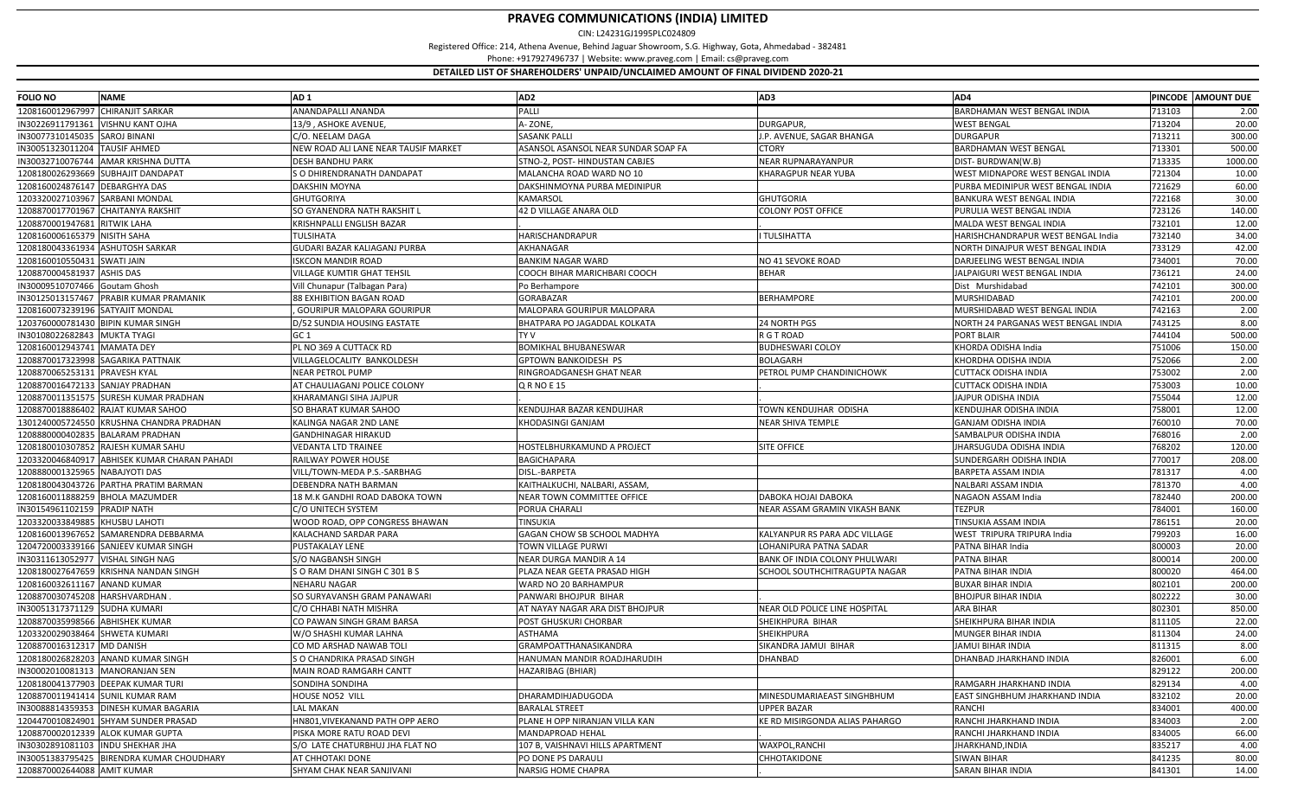| <b>FOLIO NO</b>                    | <b>NAME</b>                                  | AD <sub>1</sub>                      | AD <sub>2</sub>                     | AD3                            | AD4                                 |        | PINCODE AMOUNT DUE |
|------------------------------------|----------------------------------------------|--------------------------------------|-------------------------------------|--------------------------------|-------------------------------------|--------|--------------------|
| 1208160012967997 CHIRANJIT SARKAR  |                                              | ANANDAPALLI ANANDA                   | PALLI                               |                                | <b>BARDHAMAN WEST BENGAL INDIA</b>  | 713103 | 2.00               |
| IN30226911791361                   | <b>VISHNU KANT OJHA</b>                      | 13/9, ASHOKE AVENUE,                 | A-ZONE,                             | DURGAPUR,                      | <b>WEST BENGAL</b>                  | 713204 | 20.00              |
| IN30077310145035                   | <b>SAROJ BINANI</b>                          | C/O. NEELAM DAGA                     | <b>SASANK PALLI</b>                 | J.P. AVENUE, SAGAR BHANGA      | <b>DURGAPUR</b>                     | 713211 | 300.00             |
| IN30051323011204                   | <b>TAUSIF AHMED</b>                          | NEW ROAD ALI LANE NEAR TAUSIF MARKET | ASANSOL ASANSOL NEAR SUNDAR SOAP FA | CTORY                          | <b>BARDHAMAN WEST BENGAL</b>        | 713301 | 500.00             |
|                                    | IN30032710076744 AMAR KRISHNA DUTTA          | <b>DESH BANDHU PARK</b>              | STNO-2, POST- HINDUSTAN CABJES      | NEAR RUPNARAYANPUR             | DIST-BURDWAN(W.B)                   | 713335 | 1000.00            |
|                                    | 1208180026293669 SUBHAJIT DANDAPAT           | S O DHIRENDRANATH DANDAPAT           | MALANCHA ROAD WARD NO 10            | KHARAGPUR NEAR YUBA            | WEST MIDNAPORE WEST BENGAL INDIA    | 721304 | 10.00              |
| 1208160024876147 DEBARGHYA DAS     |                                              | DAKSHIN MOYNA                        | DAKSHINMOYNA PURBA MEDINIPUR        |                                | PURBA MEDINIPUR WEST BENGAL INDIA   | 721629 | 60.00              |
| 1203320027103967                   | <b>SARBANI MONDAL</b>                        | <b>GHUTGORIYA</b>                    | KAMARSOL                            | <b>GHUTGORIA</b>               | BANKURA WEST BENGAL INDIA           | 722168 | 30.00              |
| 1208870017701967 CHAITANYA RAKSHIT |                                              | SO GYANENDRA NATH RAKSHIT I          | 42 D VILLAGE ANARA OLD              | <b>COLONY POST OFFICE</b>      | PURULIA WEST BENGAL INDIA           | 723126 | 140.00             |
| 1208870001947681 RITWIK LAHA       |                                              | KRISHNPALLI ENGLISH BAZAR            |                                     |                                | MALDA WEST BENGAL INDIA             | 732101 | 12.00              |
| 1208160006165379 NISITH SAHA       |                                              | <b>TULSIHATA</b>                     | HARISCHANDRAPUR                     | I TULSIHATTA                   | HARISHCHANDRAPUR WEST BENGAL India  | 732140 | 34.00              |
| 1208180043361934 ASHUTOSH SARKAR   |                                              | GUDARI BAZAR KALIAGANJ PURBA         | AKHANAGAR                           |                                | NORTH DINAJPUR WEST BENGAL INDIA    | 733129 | 42.00              |
| 1208160010550431 SWATI JAIN        |                                              | ISKCON MANDIR ROAD                   | <b>BANKIM NAGAR WARD</b>            | NO 41 SEVOKE ROAD              | DARJEELING WEST BENGAL INDIA        | 734001 | 70.00              |
| 1208870004581937 ASHIS DAS         |                                              | VILLAGE KUMTIR GHAT TEHSIL           | COOCH BIHAR MARICHBARI COOCH        | <b>BEHAR</b>                   | JALPAIGURI WEST BENGAL INDIA        | 736121 | 24.00              |
| IN30009510707466 Goutam Ghosh      |                                              | Vill Chunapur (Talbagan Para)        | Po Berhampore                       |                                | Dist Murshidabad                    | 742101 | 300.00             |
|                                    | IN30125013157467 PRABIR KUMAR PRAMANIK       | <b>88 EXHIBITION BAGAN ROAD</b>      | GORABAZAR                           | <b>BERHAMPORE</b>              | <b>MURSHIDABAD</b>                  | 742101 | 200.00             |
| 1208160073239196 SATYAJIT MONDAL   |                                              | <b>GOURIPUR MALOPARA GOURIPUR</b>    | MALOPARA GOURIPUR MALOPARA          |                                | MURSHIDABAD WEST BENGAL INDIA       | 742163 | 2.00               |
| 1203760000781430 BIPIN KUMAR SINGH |                                              | )/52 SUNDIA HOUSING EASTATE          | BHATPARA PO JAGADDAL KOLKATA        | 24 NORTH PGS                   | NORTH 24 PARGANAS WEST BENGAL INDIA | 743125 | 8.00               |
| IN30108022682843 MUKTA TYAGI       |                                              | GC 1                                 | TY V                                | R G T ROAD                     | <b>PORT BLAIR</b>                   | 744104 | 500.00             |
| 1208160012943741 MAMATA DEY        |                                              | PL NO 369 A CUTTACK RD               | <b>BOMIKHAL BHUBANESWAR</b>         | <b>BUDHESWARI COLOY</b>        | KHORDA ODISHA India                 | 751006 | 150.00             |
|                                    | 1208870017323998 SAGARIKA PATTNAIK           | VILLAGELOCALITY BANKOLDESH           | GPTOWN BANKOIDESH PS                | <b>BOLAGARH</b>                | KHORDHA ODISHA INDIA                | 752066 | 2.00               |
| 1208870065253131 PRAVESH KYAL      |                                              | NEAR PETROL PUMP                     | RINGROADGANESH GHAT NEAR            | PETROL PUMP CHANDINICHOWK      | <b>CUTTACK ODISHA INDIA</b>         | 753002 | 2.00               |
| 1208870016472133 SANJAY PRADHAN    |                                              | AT CHAULIAGANJ POLICE COLONY         | <b>QRNOE15</b>                      |                                | <b>CUTTACK ODISHA INDIA</b>         | 753003 | 10.00              |
|                                    | 1208870011351575 SURESH KUMAR PRADHAN        | KHARAMANGI SIHA JAJPUR               |                                     |                                | JAJPUR ODISHA INDIA                 | 755044 | 12.00              |
|                                    | 1208870018886402 RAJAT KUMAR SAHOO           | SO BHARAT KUMAR SAHOO                | KENDUJHAR BAZAR KENDUJHAR           | TOWN KENDUJHAR ODISHA          | <b>KENDUJHAR ODISHA INDIA</b>       | 758001 | 12.00              |
|                                    | 1301240005724550 KRUSHNA CHANDRA PRADHAN     | KALINGA NAGAR 2ND LANE               | KHODASINGI GANJAM                   | <b>NEAR SHIVA TEMPLE</b>       | <b>GANJAM ODISHA INDIA</b>          | 760010 | 70.00              |
|                                    | 1208880000402835 BALARAM PRADHAN             | GANDHINAGAR HIRAKUD                  |                                     |                                | SAMBALPUR ODISHA INDIA              | 768016 | 2.00               |
|                                    | 1208180010307852 RAJESH KUMAR SAHU           | <b>VEDANTA LTD TRAINEE</b>           | HOSTELBHURKAMUND A PROJECT          | <b>SITE OFFICE</b>             | JHARSUGUDA ODISHA INDIA             | 768202 | 120.00             |
|                                    | 1203320046840917 ABHISEK KUMAR CHARAN PAHADI | RAILWAY POWER HOUSE                  | BAGICHAPARA                         |                                | SUNDERGARH ODISHA INDIA             | 770017 | 208.00             |
| 1208880001325965 NABAJYOTI DAS     |                                              | VILL/TOWN-MEDA P.S.-SARBHAG          | DISL - BARPETA                      |                                | <b>BARPETA ASSAM INDIA</b>          | 781317 | 4.00               |
|                                    | 1208180043043726 PARTHA PRATIM BARMAN        | DEBENDRA NATH BARMAN                 | KAITHALKUCHI, NALBARI, ASSAM        |                                | NALBARI ASSAM INDIA                 | 781370 | 4.00               |
| 1208160011888259 BHOLA MAZUMDER    |                                              | 18 M.K GANDHI ROAD DABOKA TOWN       | NEAR TOWN COMMITTEE OFFICE          | DABOKA HOJAI DABOKA            | NAGAON ASSAM India                  | 782440 | 200.00             |
| IN30154961102159 PRADIP NATH       |                                              | C/O UNITECH SYSTEM                   | PORUA CHARALI                       | NEAR ASSAM GRAMIN VIKASH BANK  | <b>TEZPUR</b>                       | 784001 | 160.00             |
| 1203320033849885 KHUSBU LAHOTI     |                                              | WOOD ROAD, OPP CONGRESS BHAWAN       | TINSUKIA                            |                                | TINSUKIA ASSAM INDIA                | 786151 | 20.00              |
|                                    | 1208160013967652 SAMARENDRA DEBBARMA         | KALACHAND SARDAR PARA                | GAGAN CHOW SB SCHOOL MADHYA         | KALYANPUR RS PARA ADC VILLAGE  | <b>WEST TRIPURA TRIPURA India</b>   | 799203 | 16.00              |
|                                    | 1204720003339166 SANJEEV KUMAR SINGH         | PUSTAKALAY LENE                      | TOWN VILLAGE PURWI                  | LOHANIPURA PATNA SADAR         | PATNA BIHAR India                   | 800003 | 20.00              |
| IN30311613052977 VISHAL SINGH NAG  |                                              | S/O NAGBANSH SINGH                   | NEAR DURGA MANDIR A 14              | BANK OF INDIA COLONY PHULWARI  | PATNA BIHAR                         | 800014 | 200.00             |
|                                    | 1208180027647659 KRISHNA NANDAN SINGH        | S O RAM DHANI SINGH C 301 B S        | PLAZA NEAR GEETA PRASAD HIGH        | SCHOOL SOUTHCHITRAGUPTA NAGAR  | PATNA BIHAR INDIA                   | 800020 | 464.00             |
| 1208160032611167 ANAND KUMAR       |                                              | NEHARU NAGAR                         | WARD NO 20 BARHAMPUR                |                                | <b>BUXAR BIHAR INDIA</b>            | 802101 | 200.00             |
| 1208870030745208 HARSHVARDHAN      |                                              | SO SURYAVANSH GRAM PANAWARI          | PANWARI BHOJPUR BIHAR               |                                | <b>BHOJPUR BIHAR INDIA</b>          | 802222 | 30.00              |
| IN30051317371129 SUDHA KUMARI      |                                              | C/O CHHABI NATH MISHRA               | AT NAYAY NAGAR ARA DIST BHOJPUR     | NEAR OLD POLICE LINE HOSPITAL  | <b>ARA BIHAR</b>                    | 802301 | 850.00             |
| 1208870035998566 ABHISHEK KUMAR    |                                              | CO PAWAN SINGH GRAM BARSA            | POST GHUSKURI CHORBAR               | SHEIKHPURA BIHAR               | SHEIKHPURA BIHAR INDIA              | 811105 | 22.00              |
| 1203320029038464 SHWETA KUMARI     |                                              | W/O SHASHI KUMAR LAHNA               | ASTHAMA                             | SHEIKHPURA                     | <b>MUNGER BIHAR INDIA</b>           | 811304 | 24.00              |
| 1208870016312317 MD DANISH         |                                              | CO MD ARSHAD NAWAB TOLI              | GRAMPOATTHANASIKANDRA               | SIKANDRA JAMUI BIHAR           | <b>JAMUI BIHAR INDIA</b>            | 811315 | 8.00               |
|                                    | 1208180026828203 ANAND KUMAR SINGH           | S O CHANDRIKA PRASAD SINGH           | HANUMAN MANDIR ROADJHARUDIH         | <b>DHANBAD</b>                 | DHANBAD JHARKHAND INDIA             | 826001 | 6.00               |
| IN30002010081313   MANORANJAN SEN  |                                              | MAIN ROAD RAMGARH CANTT              | HAZARIBAG (BHIAR)                   |                                |                                     | 829122 | 200.00             |
|                                    | 1208180041377903 DEEPAK KUMAR TURI           | SONDIHA SONDIHA                      |                                     |                                | RAMGARH JHARKHAND INDIA             | 829134 | 4.00               |
| 1208870011941414 SUNIL KUMAR RAM   |                                              | HOUSE NO52 VILL                      | DHARAMDIHJADUGODA                   | MINESDUMARIAEAST SINGHBHUM     | EAST SINGHBHUM JHARKHAND INDIA      | 832102 | 20.00              |
|                                    | IN30088814359353 DINESH KUMAR BAGARIA        | <b>LAL MAKAN</b>                     | <b>BARALAL STREET</b>               | <b>UPPER BAZAR</b>             | <b>RANCHI</b>                       | 834001 | 400.00             |
|                                    | 1204470010824901 SHYAM SUNDER PRASAD         | IN801,VIVEKANAND PATH OPP AERO       | PLANE H OPP NIRANJAN VILLA KAN      | KE RD MISIRGONDA ALIAS PAHARGO | RANCHI JHARKHAND INDIA              | 834003 | 2.00               |
|                                    | 1208870002012339 ALOK KUMAR GUPTA            | PISKA MORE RATU ROAD DEVI            | MANDAPROAD HEHAL                    |                                | RANCHI JHARKHAND INDIA              | 834005 | 66.00              |
| IN30302891081103 INDU SHEKHAR JHA  |                                              | S/O LATE CHATURBHUJ JHA FLAT NO      | 107 B, VAISHNAVI HILLS APARTMENT    | WAXPOL, RANCHI                 | JHARKHAND, INDIA                    | 835217 | 4.00               |
|                                    | IN30051383795425 BIRENDRA KUMAR CHOUDHARY    | AT CHHOTAKI DONE                     | PO DONE PS DARAULI                  | CHHOTAKIDONE                   | <b>SIWAN BIHAR</b>                  | 841235 | 80.00              |
| 1208870002644088 AMIT KUMAR        |                                              | SHYAM CHAK NEAR SANJIVANI            | <b>NARSIG HOME CHAPRA</b>           |                                | <b>SARAN BIHAR INDIA</b>            | 841301 | 14.00              |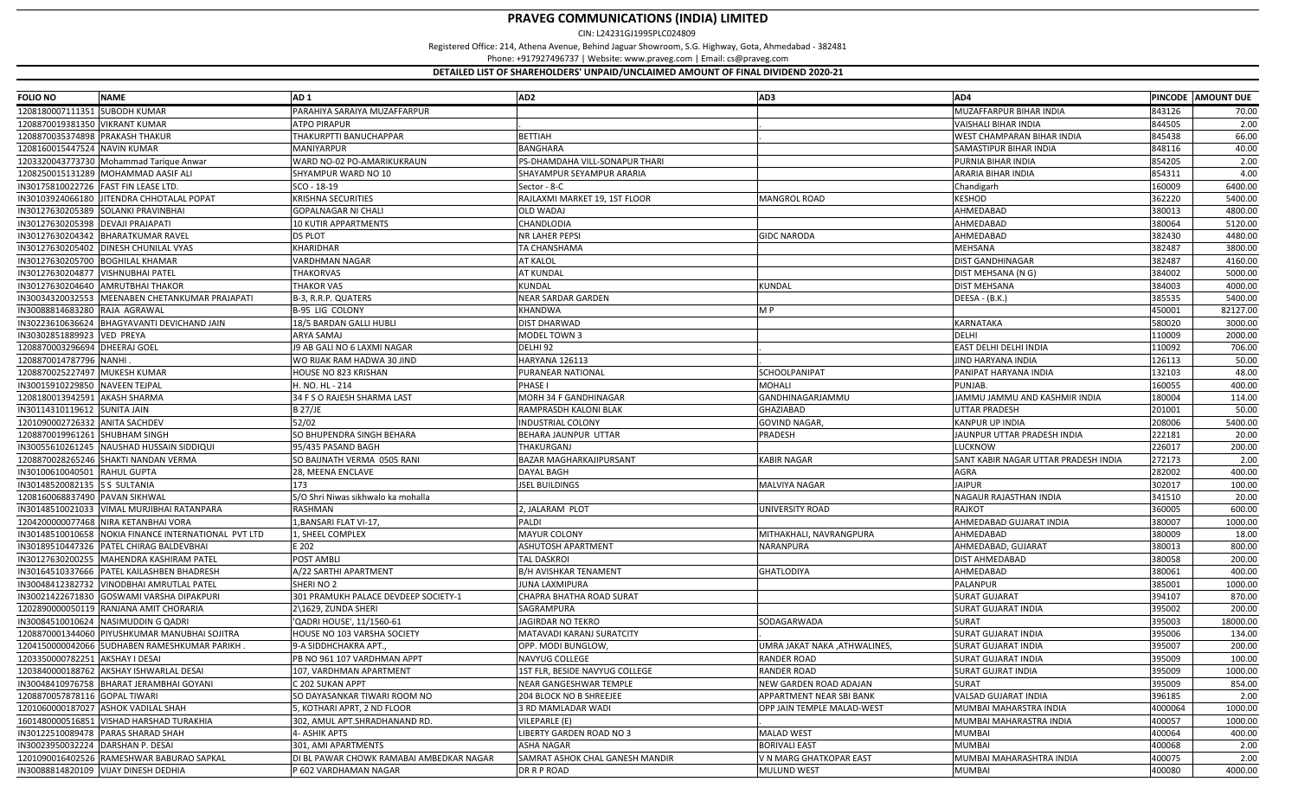| <b>FOLIO NO</b>                      | <b>NAME</b>                                          | AD <sub>1</sub>                          | AD <sub>2</sub>                 | AD3                          | AD4                                  |                  | PINCODE AMOUNT DUE |
|--------------------------------------|------------------------------------------------------|------------------------------------------|---------------------------------|------------------------------|--------------------------------------|------------------|--------------------|
| 1208180007111351 SUBODH KUMAR        |                                                      | PARAHIYA SARAIYA MUZAFFARPUR             |                                 |                              | MUZAFFARPUR BIHAR INDIA              | 843126           | 70.00              |
| 1208870019381350 VIKRANT KUMAR       |                                                      | <b>ATPO PIRAPUR</b>                      |                                 |                              | VAISHALI BIHAR INDIA                 | 844505           | 2.00               |
| 1208870035374898 PRAKASH THAKUR      |                                                      | THAKURPTTI BANUCHAPPAR                   | <b>BETTIAH</b>                  |                              | WEST CHAMPARAN BIHAR INDIA           | 845438           | 66.00              |
| 1208160015447524 NAVIN KUMAR         |                                                      | MANIYARPUR                               | <b>BANGHARA</b>                 |                              | SAMASTIPUR BIHAR INDIA               | 848116           | 40.00              |
|                                      | 1203320043773730 Mohammad Tarique Anwar              | WARD NO-02 PO-AMARIKUKRAUN               | PS-DHAMDAHA VILL-SONAPUR THARI  |                              | PURNIA BIHAR INDIA                   | 854205           | 2.00               |
|                                      | 1208250015131289 MOHAMMAD AASIF ALI                  | SHYAMPUR WARD NO 10                      | SHAYAMPUR SEYAMPUR ARARIA       |                              | ARARIA BIHAR INDIA                   | 854311           | 4.00               |
| IN30175810022726 FAST FIN LEASE LTD. |                                                      | SCO - 18-19                              | Sector - 8-C                    |                              | Chandigarh                           | 160009           | 6400.00            |
|                                      | IN30103924066180 JITENDRA CHHOTALAL POPAT            | <b>KRISHNA SECURITIES</b>                | RAJLAXMI MARKET 19, 1ST FLOOR   | <b>MANGROL ROAD</b>          | KESHOD                               | 362220           | 5400.00            |
|                                      | IN30127630205389 SOLANKI PRAVINBHAI                  | <b>GOPALNAGAR NI CHALI</b>               | <b>OLD WADAJ</b>                |                              | AHMEDABAD                            | 380013           | 4800.00            |
| IN30127630205398 DEVAJI PRAJAPATI    |                                                      | <b>10 KUTIR APPARTMENTS</b>              | CHANDLODIA                      |                              | AHMEDABAD                            | 380064           | 5120.00            |
|                                      | IN30127630204342 BHARATKUMAR RAVEL                   | <b>DS PLOT</b>                           | <b>NR LAHER PEPSI</b>           | <b>GIDC NARODA</b>           | AHMEDABAD                            | 382430           | 4480.00            |
|                                      | IN30127630205402 DINESH CHUNILAL VYAS                | KHARIDHAR                                | TA CHANSHAMA                    |                              | <b>MEHSANA</b>                       | 382487           | 3800.00            |
| IN30127630205700 BOGHILAL KHAMAR     |                                                      | VARDHMAN NAGAR                           | <b>AT KALOL</b>                 |                              | <b>DIST GANDHINAGAR</b>              | 382487           | 4160.00            |
| IN30127630204877 VISHNUBHAI PATEL    |                                                      | THAKORVAS                                | <b>AT KUNDAL</b>                |                              | DIST MEHSANA (N G)                   | 384002           | 5000.00            |
|                                      | IN30127630204640 AMRUTBHAI THAKOR                    | <b>THAKOR VAS</b>                        | KUNDAL                          | KUNDAL                       | <b>DIST MEHSANA</b>                  | 384003           | 4000.00            |
|                                      | IN30034320032553 MEENABEN CHETANKUMAR PRAJAPATI      | B-3, R.R.P. QUATERS                      | NEAR SARDAR GARDEN              |                              | DEESA - (B.K.)                       | 385535           | 5400.00            |
| IN30088814683280 RAJA AGRAWAL        |                                                      | <b>B-95 LIG COLONY</b>                   | <b>KHANDWA</b>                  | MP                           |                                      | 450001           | 82127.00           |
|                                      | IN30223610636624 BHAGYAVANTI DEVICHAND JAIN          | 18/5 BARDAN GALLI HUBLI                  | <b>DIST DHARWAD</b>             |                              | KARNATAKA                            | 580020           | 3000.00            |
| IN30302851889923 VED PREYA           |                                                      | ARYA SAMAJ                               | MODEL TOWN 3                    |                              | DELHI                                | 110009           | 2000.00            |
| 1208870003296694 DHEERAJ GOEL        |                                                      | J9 AB GALI NO 6 LAXMI NAGAR              | DELHI 92                        |                              | EAST DELHI DELHI INDIA               | 110092           | 706.00             |
| 1208870014787796 NANHI               |                                                      | WO RIJAK RAM HADWA 30 JIND               | HARYANA 126113                  |                              | JIND HARYANA INDIA                   | 126113           | 50.00              |
| 1208870025227497 MUKESH KUMAR        |                                                      | HOUSE NO 823 KRISHAN                     | PURANEAR NATIONAL               | SCHOOLPANIPAT                | PANIPAT HARYANA INDIA                | 132103           | 48.00              |
| IN30015910229850 NAVEEN TEJPAL       |                                                      | H. NO. HL - 214                          | PHASE I                         | MOHALI                       | PUNJAB.                              | 160055           | 400.00             |
| 1208180013942591 AKASH SHARMA        |                                                      | 34 F S O RAJESH SHARMA LAST              | MORH 34 F GANDHINAGAR           | GANDHINAGARJAMMU             | JAMMU JAMMU AND KASHMIR INDIA        | 180004           | 114.00             |
| IN30114310119612 SUNITA JAIN         |                                                      | <b>B 27/JE</b>                           | RAMPRASDH KALONI BLAK           | GHAZIABAD                    | UTTAR PRADESH                        | 201001           | 50.00              |
| 1201090002726332 ANITA SACHDEV       |                                                      | 52/02                                    | <b>INDUSTRIAL COLONY</b>        | <b>GOVIND NAGAR,</b>         | KANPUR UP INDIA                      | 208006           | 5400.00            |
| 1208870019961261 SHUBHAM SINGH       |                                                      | SO BHUPENDRA SINGH BEHARA                | BEHARA JAUNPUR UTTAR            | PRADESH                      | <b>JAUNPUR UTTAR PRADESH INDIA</b>   | 222181           | 20.00              |
|                                      | IN30055610261245 NAUSHAD HUSSAIN SIDDIQUI            | 95/435 PASAND BAGH                       | THAKURGANJ                      |                              | LUCKNOW                              | 226017           | 200.00             |
|                                      | 1208870028265246 SHAKTI NANDAN VERMA                 |                                          |                                 | <b>KABIR NAGAR</b>           |                                      | 272173           | 2.00               |
|                                      |                                                      | SO BAIJNATH VERMA 0505 RANI              | BAZAR MAGHARKAJIPURSANT         |                              | SANT KABIR NAGAR UTTAR PRADESH INDIA |                  |                    |
| IN30100610040501 RAHUL GUPTA         |                                                      | 28, MEENA ENCLAVE                        | DAYAL BAGH                      |                              | AGRA                                 | 282002           | 400.00             |
| IN30148520082135 S S SULTANIA        |                                                      | 173                                      | <b>JSEL BUILDINGS</b>           | MALVIYA NAGAR                | <b>JAIPUR</b>                        | 302017           | 100.00             |
| 1208160068837490 PAVAN SIKHWAL       |                                                      | S/O Shri Niwas sikhwalo ka mohalla       |                                 |                              | NAGAUR RAJASTHAN INDIA               | 341510           | 20.00              |
|                                      | IN30148510021033   VIMAL MURJIBHAI RATANPARA         | RASHMAN                                  | 2, JALARAM PLOT                 | UNIVERSITY ROAD              | <b>RAJKOT</b>                        | 360005           | 600.00             |
|                                      | 1204200000077468 NIRA KETANBHAI VORA                 | 1, BANSARI FLAT VI-17,                   | PALDI                           |                              | AHMEDABAD GUJARAT INDIA              | 380007           | 1000.00            |
|                                      | IN30148510010658 NOKIA FINANCE INTERNATIONAL PVT LTD | 1, SHEEL COMPLEX                         | <b>MAYUR COLONY</b>             | MITHAKHALI, NAVRANGPURA      | AHMEDABAD                            | 380009           | 18.00              |
|                                      | IN30189510447326 PATEL CHIRAG BALDEVBHAI             | E 202                                    | <b>ASHUTOSH APARTMENT</b>       | NARANPURA                    | AHMEDABAD, GUJARAT                   | 380013           | 800.00             |
|                                      | IN30127630200255   MAHENDRA KASHIRAM PATEL           | POST AMBLI                               | <b>TAL DASKROI</b>              |                              | DIST AHMEDABAD                       | 380058<br>380061 | 200.00             |
|                                      | IN30164510337666 PATEL KAILASHBEN BHADRESH           | A/22 SARTHI APARTMENT                    | <b>B/H AVISHKAR TENAMENT</b>    | <b>GHATLODIYA</b>            | AHMEDABAD                            |                  | 400.00             |
| IN30048412382732                     | <b>VINODBHAI AMRUTLAL PATEL</b>                      | SHERINO <sub>2</sub>                     | JUNA LAXMIPURA                  |                              | PALANPUR                             | 385001           | 1000.00            |
| IN30021422671830                     | <b>GOSWAMI VARSHA DIPAKPURI</b>                      | 301 PRAMUKH PALACE DEVDEEP SOCIETY-1     | CHAPRA BHATHA ROAD SURAT        |                              | <b>SURAT GUJARAT</b>                 | 394107           | 870.00             |
|                                      | 1202890000050119 RANJANA AMIT CHORARIA               | 2\1629, ZUNDA SHERI                      | SAGRAMPURA                      |                              | SURAT GUJARAT INDIA                  | 395002           | 200.00             |
| IN30084510010624                     | NASIMUDDIN G QADRI                                   | 'QADRI HOUSE', 11/1560-61                | JAGIRDAR NO TEKRO               | SODAGARWADA                  | <b>SURAT</b>                         | 395003           | 18000.00           |
|                                      | 1208870001344060 PIYUSHKUMAR MANUBHAI SOJITRA        | HOUSE NO 103 VARSHA SOCIETY              | MATAVADI KARANJ SURATCITY       |                              | <b>SURAT GUJARAT INDIA</b>           | 395006           | 134.00             |
|                                      | 1204150000042066 SUDHABEN RAMESHKUMAR PARIKH         | 9-A SIDDHCHAKRA APT.                     | OPP. MODI BUNGLOW,              | JMRA JAKAT NAKA ,ATHWALINES, | SURAT GUJARAT INDIA                  | 395007           | 200.00             |
| 1203350000782251 AKSHAY I DESAI      |                                                      | PB NO 961 107 VARDHMAN APPT              | NAVYUG COLLEGE                  | <b>RANDER ROAD</b>           | <b>SURAT GUJARAT INDIA</b>           | 395009           | 100.00             |
|                                      | 1203840000188762 AKSHAY ISHWARLAL DESAI              | 107, VARDHMAN APARTMENT                  | 1ST FLR, BESIDE NAVYUG COLLEGE  | <b>RANDER ROAD</b>           | <b>SURAT GUJRAT INDIA</b>            | 395009           | 1000.00            |
|                                      | IN30048410976758 BHARAT JERAMBHAI GOYANI             | C 202 SUKAN APPT                         | <b>NEAR GANGESHWAR TEMPLE</b>   | NEW GARDEN ROAD ADAJAN       | SURAT                                | 395009           | 854.00             |
| 1208870057878116 GOPAL TIWARI        |                                                      | SO DAYASANKAR TIWARI ROOM NO             | <b>204 BLOCK NO B SHREEJEE</b>  | APPARTMENT NEAR SBI BANK     | VALSAD GUJARAT INDIA                 | 396185           | 2.00               |
|                                      | 1201060000187027 ASHOK VADILAL SHAH                  | 5, KOTHARI APRT, 2 ND FLOOR              | 3 RD MAMLADAR WADI              | OPP JAIN TEMPLE MALAD-WEST   | MUMBAI MAHARSTRA INDIA               | 4000064          | 1000.00            |
| 1601480000516851                     | <b>VISHAD HARSHAD TURAKHIA</b>                       | 302, AMUL APT.SHRADHANAND RD.            | VILEPARLE (E)                   |                              | MUMBAI MAHARASTRA INDIA              | 400057           | 1000.00            |
|                                      | IN30122510089478 PARAS SHARAD SHAH                   | 4- ASHIK APTS                            | LIBERTY GARDEN ROAD NO 3        | <b>MALAD WEST</b>            | <b>MUMBAI</b>                        | 400064           | 400.00             |
| IN30023950032224                     | DARSHAN P. DESAI                                     | 301. AMI APARTMENTS                      | <b>ASHA NAGAR</b>               | <b>BORIVALI EAST</b>         | <b>MUMBAI</b>                        | 400068           | 2.00               |
|                                      | 1201090016402526 RAMESHWAR BABURAO SAPKAL            | DI BL PAWAR CHOWK RAMABAI AMBEDKAR NAGAR | SAMRAT ASHOK CHAL GANESH MANDIR | V N MARG GHATKOPAR EAST      | MUMBAI MAHARASHTRA INDIA             | 400075           | 2.00               |
|                                      | IN30088814820109 VIJAY DINESH DEDHIA                 | P 602 VARDHAMAN NAGAR                    | DR R P ROAD                     | MULUND WEST                  | <b>MUMBAI</b>                        | 400080           | 4000.00            |